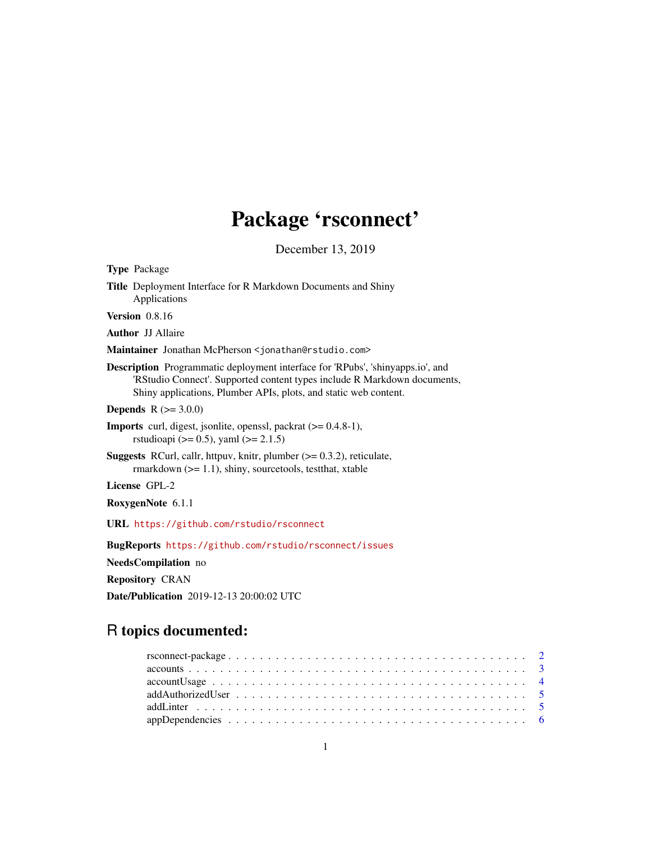# Package 'rsconnect'

December 13, 2019

<span id="page-0-0"></span>

| Type Package                                                                                                                                                                                                                          |
|---------------------------------------------------------------------------------------------------------------------------------------------------------------------------------------------------------------------------------------|
| Title Deployment Interface for R Markdown Documents and Shiny<br>Applications                                                                                                                                                         |
| <b>Version</b> 0.8.16                                                                                                                                                                                                                 |
| <b>Author JJ Allaire</b>                                                                                                                                                                                                              |
| Maintainer Jonathan McPherson <jonathan@rstudio.com></jonathan@rstudio.com>                                                                                                                                                           |
| <b>Description</b> Programmatic deployment interface for 'RPubs', 'shinyapps.io', and<br>'RStudio Connect'. Supported content types include R Markdown documents,<br>Shiny applications, Plumber APIs, plots, and static web content. |
| <b>Depends</b> $R (= 3.0.0)$                                                                                                                                                                                                          |
| <b>Imports</b> curl, digest, jsonlite, openssl, packrat $(>= 0.4.8-1)$ ,<br>rstudioapi ( $> = 0.5$ ), yaml ( $>= 2.1.5$ )                                                                                                             |
| <b>Suggests</b> RCurl, callr, httpuv, knitr, plumber $(>= 0.3.2)$ , reticulate,<br>rmarkdown $(>= 1.1)$ , shiny, sourcetools, test that, xtable                                                                                       |
| <b>License GPL-2</b>                                                                                                                                                                                                                  |
| RoxygenNote 6.1.1                                                                                                                                                                                                                     |
| URL https://github.com/rstudio/rsconnect                                                                                                                                                                                              |
| BugReports https://github.com/rstudio/rsconnect/issues                                                                                                                                                                                |
| NeedsCompilation no                                                                                                                                                                                                                   |
| <b>Repository CRAN</b>                                                                                                                                                                                                                |
| <b>Date/Publication</b> 2019-12-13 20:00:02 UTC                                                                                                                                                                                       |
|                                                                                                                                                                                                                                       |

## R topics documented:

| $accountUsage \dots \dots \dots \dots \dots \dots \dots \dots \dots \dots \dots \dots \dots \dots \dots \dots \dots$ |  |
|----------------------------------------------------------------------------------------------------------------------|--|
|                                                                                                                      |  |
|                                                                                                                      |  |
|                                                                                                                      |  |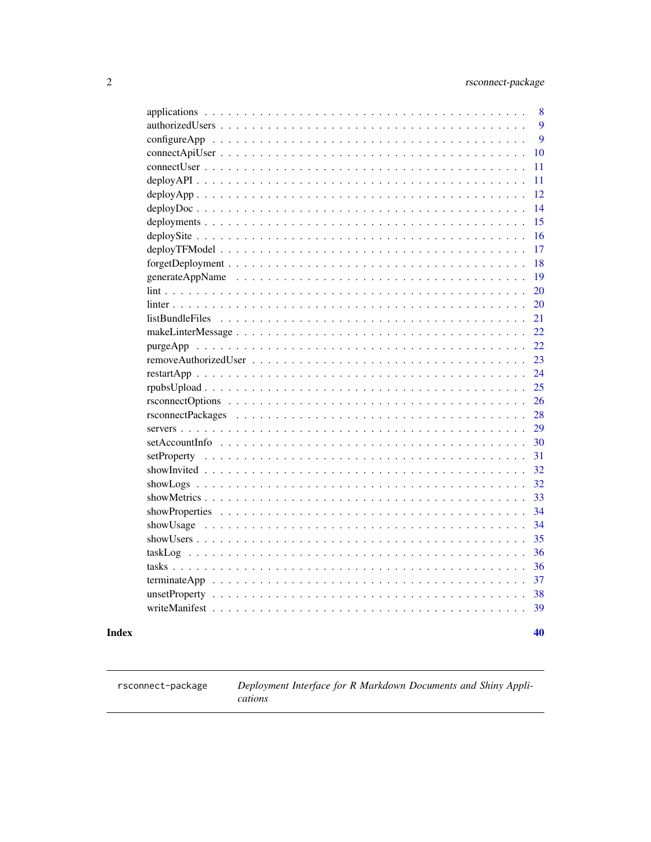<span id="page-1-0"></span>

|                                                                                                            | 8  |
|------------------------------------------------------------------------------------------------------------|----|
|                                                                                                            | 9  |
| $\text{configureApp } \ldots \ldots \ldots \ldots \ldots \ldots \ldots \ldots \ldots \ldots \ldots \ldots$ | 9  |
|                                                                                                            | 10 |
|                                                                                                            | 11 |
| $deployAPI$                                                                                                | 11 |
|                                                                                                            | 12 |
|                                                                                                            | 14 |
|                                                                                                            | 15 |
|                                                                                                            | 16 |
| $\ddot{\phantom{0}}$                                                                                       | 17 |
|                                                                                                            | 18 |
|                                                                                                            | 19 |
|                                                                                                            | 20 |
|                                                                                                            | 20 |
| listBundleFiles                                                                                            | 21 |
|                                                                                                            | 22 |
| purgeApp                                                                                                   | 22 |
|                                                                                                            | 23 |
|                                                                                                            | 24 |
|                                                                                                            | 25 |
|                                                                                                            | 26 |
|                                                                                                            | 28 |
|                                                                                                            | 29 |
|                                                                                                            | 30 |
|                                                                                                            | 31 |
|                                                                                                            | 32 |
| showLogs                                                                                                   | 32 |
|                                                                                                            | 33 |
|                                                                                                            | 34 |
| showUsage                                                                                                  | 34 |
|                                                                                                            | 35 |
|                                                                                                            | 36 |
|                                                                                                            | 36 |
|                                                                                                            | 37 |
| $unsetProperty \ldots \ldots \ldots \ldots \ldots \ldots \ldots \ldots \ldots \ldots$                      | 38 |
|                                                                                                            | 39 |
|                                                                                                            |    |
|                                                                                                            | 40 |

### **Index**

rsconnect-package

Deployment Interface for R Markdown Documents and Shiny Applications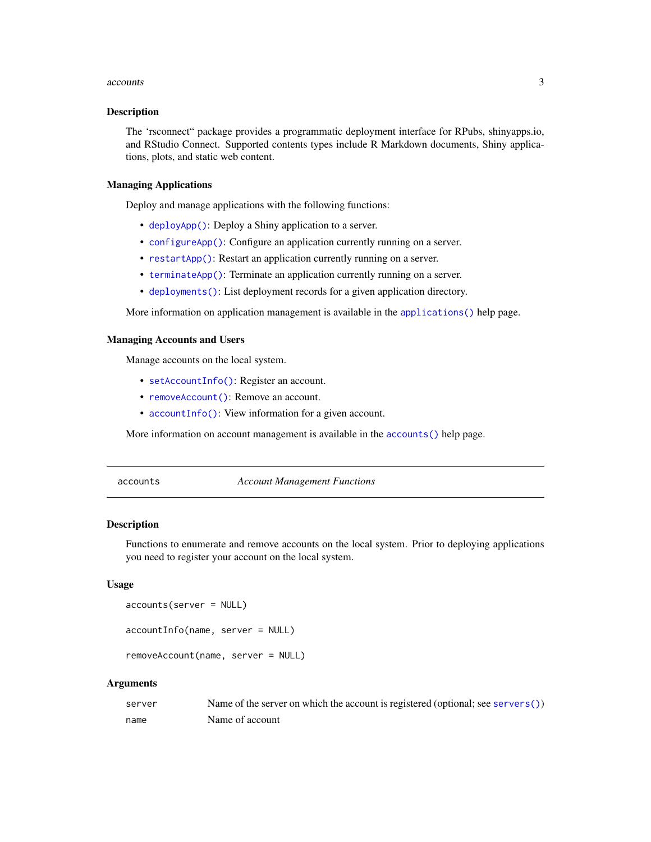#### <span id="page-2-0"></span>accounts 3

#### Description

The 'rsconnect" package provides a programmatic deployment interface for RPubs, shinyapps.io, and RStudio Connect. Supported contents types include R Markdown documents, Shiny applications, plots, and static web content.

#### Managing Applications

Deploy and manage applications with the following functions:

- [deployApp\(\)](#page-11-1): Deploy a Shiny application to a server.
- [configureApp\(\)](#page-8-1): Configure an application currently running on a server.
- [restartApp\(\)](#page-23-1): Restart an application currently running on a server.
- [terminateApp\(\)](#page-36-1): Terminate an application currently running on a server.
- [deployments\(\)](#page-14-1): List deployment records for a given application directory.

More information on application management is available in the [applications\(\)](#page-7-1) help page.

#### Managing Accounts and Users

Manage accounts on the local system.

- [setAccountInfo\(\)](#page-29-1): Register an account.
- [removeAccount\(\)](#page-2-1): Remove an account.
- [accountInfo\(\)](#page-2-1): View information for a given account.

More information on account management is available in the [accounts\(\)](#page-2-2) help page.

<span id="page-2-2"></span>accounts *Account Management Functions*

#### <span id="page-2-1"></span>Description

Functions to enumerate and remove accounts on the local system. Prior to deploying applications you need to register your account on the local system.

#### Usage

```
accounts(server = NULL)
```

```
accountInfo(name, server = NULL)
```
removeAccount(name, server = NULL)

| server | Name of the server on which the account is registered (optional; see servers()) |
|--------|---------------------------------------------------------------------------------|
| name   | Name of account                                                                 |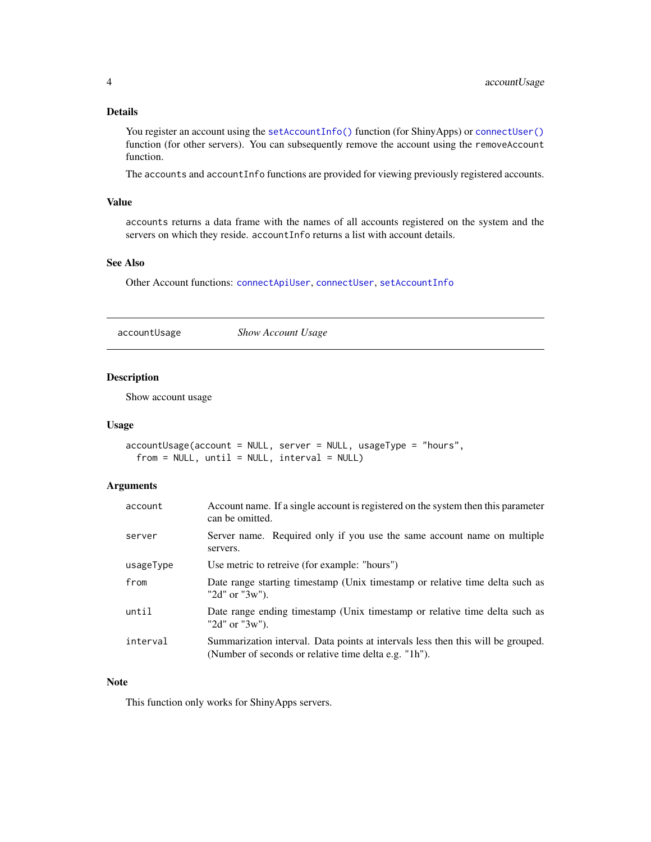#### <span id="page-3-0"></span>Details

You register an account using the [setAccountInfo\(\)](#page-29-1) function (for ShinyApps) or [connectUser\(\)](#page-10-1) function (for other servers). You can subsequently remove the account using the removeAccount function.

The accounts and accountInfo functions are provided for viewing previously registered accounts.

#### Value

accounts returns a data frame with the names of all accounts registered on the system and the servers on which they reside. accountInfo returns a list with account details.

#### See Also

Other Account functions: [connectApiUser](#page-9-1), [connectUser](#page-10-1), [setAccountInfo](#page-29-1)

accountUsage *Show Account Usage*

### Description

Show account usage

#### Usage

```
accountUsage(account = NULL, server = NULL, usageType = "hours",
 from = NULL, until = NULL, interval = NULL)
```
### Arguments

| account   | Account name. If a single account is registered on the system then this parameter<br>can be omitted.                                      |
|-----------|-------------------------------------------------------------------------------------------------------------------------------------------|
| server    | Server name. Required only if you use the same account name on multiple<br>servers.                                                       |
| usageType | Use metric to retreive (for example: "hours")                                                                                             |
| from      | Date range starting timestamp (Unix timestamp or relative time delta such as<br>" $2d$ " or " $3w$ ").                                    |
| until     | Date range ending timestamp (Unix timestamp or relative time delta such as<br>" $2d$ " or " $3w$ ").                                      |
| interval  | Summarization interval. Data points at intervals less then this will be grouped.<br>(Number of seconds or relative time delta e.g. "1h"). |

### Note

This function only works for ShinyApps servers.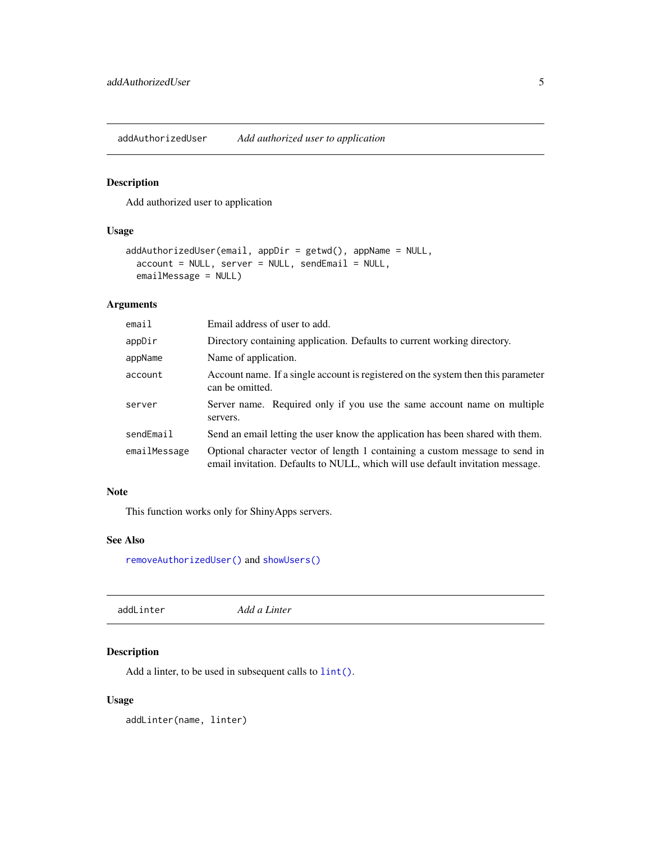<span id="page-4-2"></span><span id="page-4-0"></span>addAuthorizedUser *Add authorized user to application*

### Description

Add authorized user to application

### Usage

```
addAuthorizedUser(email, appDir = getwd(), appName = NULL,
  account = NULL, server = NULL, sendEmail = NULL,
  emailMessage = NULL)
```
### Arguments

| email        | Email address of user to add.                                                                                                                                  |
|--------------|----------------------------------------------------------------------------------------------------------------------------------------------------------------|
| appDir       | Directory containing application. Defaults to current working directory.                                                                                       |
| appName      | Name of application.                                                                                                                                           |
| account      | Account name. If a single account is registered on the system then this parameter<br>can be omitted.                                                           |
| server       | Server name. Required only if you use the same account name on multiple<br>servers.                                                                            |
| sendEmail    | Send an email letting the user know the application has been shared with them.                                                                                 |
| emailMessage | Optional character vector of length 1 containing a custom message to send in<br>email invitation. Defaults to NULL, which will use default invitation message. |

### Note

This function works only for ShinyApps servers.

### See Also

[removeAuthorizedUser\(\)](#page-22-1) and [showUsers\(\)](#page-34-1)

<span id="page-4-1"></span>addLinter *Add a Linter*

### Description

Add a linter, to be used in subsequent calls to  $lint()$ .

### Usage

addLinter(name, linter)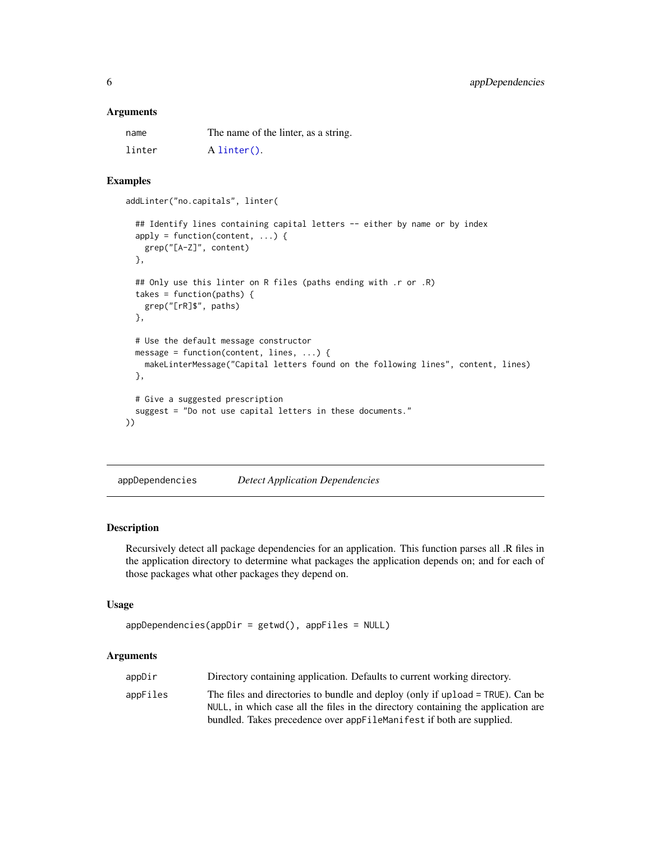#### <span id="page-5-0"></span>**Arguments**

| name   | The name of the linter, as a string. |
|--------|--------------------------------------|
| linter | $A$ linter().                        |

### Examples

addLinter("no.capitals", linter(

```
## Identify lines containing capital letters -- either by name or by index
 apply = function(content, ...) {
   grep("[A-Z]", content)
 },
 ## Only use this linter on R files (paths ending with .r or .R)
 takes = function(paths) {
   grep("[rR]$", paths)
 },
 # Use the default message constructor
 message = function(content, lines, ...) {
   makeLinterMessage("Capital letters found on the following lines", content, lines)
 },
 # Give a suggested prescription
 suggest = "Do not use capital letters in these documents."
))
```
<span id="page-5-1"></span>appDependencies *Detect Application Dependencies*

### Description

Recursively detect all package dependencies for an application. This function parses all .R files in the application directory to determine what packages the application depends on; and for each of those packages what other packages they depend on.

#### Usage

```
appDependencies(appDir = getwd(), appFiles = NULL)
```

| appDir   | Directory containing application. Defaults to current working directory.          |
|----------|-----------------------------------------------------------------------------------|
| appFiles | The files and directories to bundle and deploy (only if upload = TRUE). Can be    |
|          | NULL, in which case all the files in the directory containing the application are |
|          | bundled. Takes precedence over appFileManifest if both are supplied.              |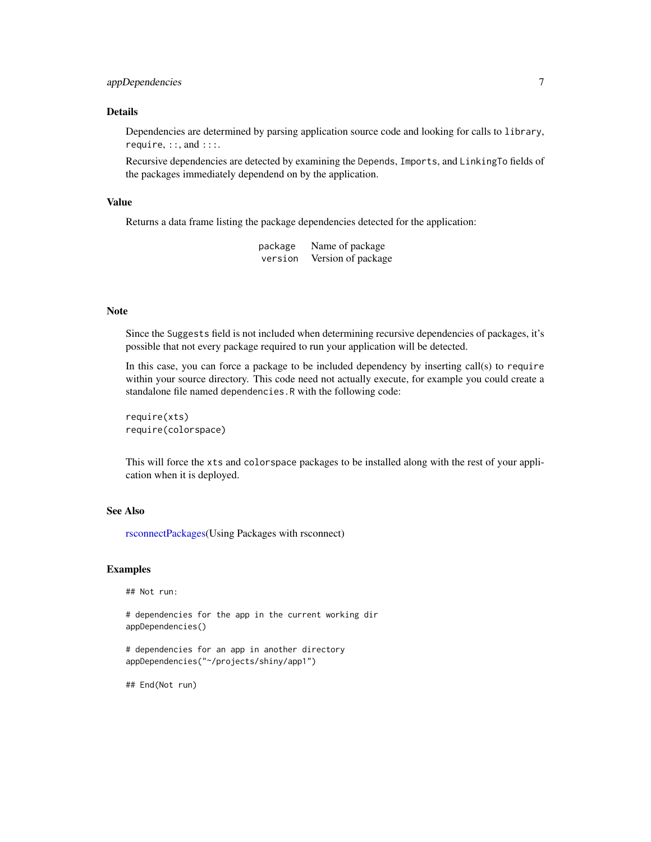### <span id="page-6-0"></span>appDependencies 7

#### Details

Dependencies are determined by parsing application source code and looking for calls to library, require, ::, and :::.

Recursive dependencies are detected by examining the Depends, Imports, and LinkingTo fields of the packages immediately dependend on by the application.

#### Value

Returns a data frame listing the package dependencies detected for the application:

| package | Name of package    |
|---------|--------------------|
| version | Version of package |

#### Note

Since the Suggests field is not included when determining recursive dependencies of packages, it's possible that not every package required to run your application will be detected.

In this case, you can force a package to be included dependency by inserting call(s) to require within your source directory. This code need not actually execute, for example you could create a standalone file named dependencies.R with the following code:

require(xts) require(colorspace)

This will force the xts and colorspace packages to be installed along with the rest of your application when it is deployed.

#### See Also

[rsconnectPackages\(](#page-27-1)Using Packages with rsconnect)

#### Examples

## Not run:

# dependencies for the app in the current working dir appDependencies()

# dependencies for an app in another directory appDependencies("~/projects/shiny/app1")

## End(Not run)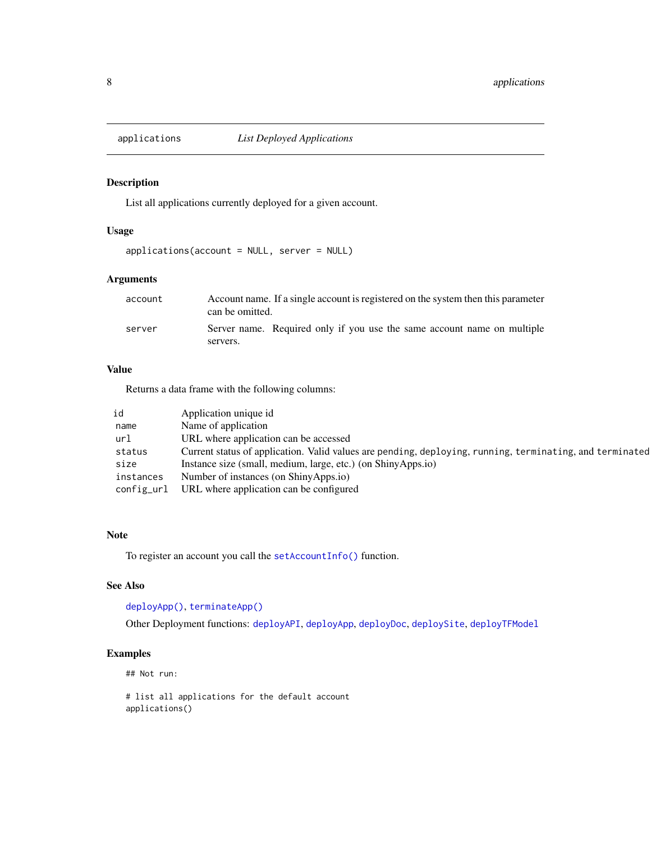<span id="page-7-1"></span><span id="page-7-0"></span>

### Description

List all applications currently deployed for a given account.

#### Usage

applications(account = NULL, server = NULL)

### Arguments

| account | Account name. If a single account is registered on the system then this parameter<br>can be omitted. |                                                                         |
|---------|------------------------------------------------------------------------------------------------------|-------------------------------------------------------------------------|
| server  | servers.                                                                                             | Server name. Required only if you use the same account name on multiple |

### Value

Returns a data frame with the following columns:

| id         | Application unique id                                                                                    |
|------------|----------------------------------------------------------------------------------------------------------|
| name       | Name of application                                                                                      |
| url        | URL where application can be accessed                                                                    |
| status     | Current status of application. Valid values are pending, deploying, running, terminating, and terminated |
| size       | Instance size (small, medium, large, etc.) (on ShinyApps.io)                                             |
| instances  | Number of instances (on ShinyApps.io)                                                                    |
| config_url | URL where application can be configured                                                                  |

#### Note

To register an account you call the [setAccountInfo\(\)](#page-29-1) function.

### See Also

[deployApp\(\)](#page-11-1), [terminateApp\(\)](#page-36-1)

Other Deployment functions: [deployAPI](#page-10-2), [deployApp](#page-11-1), [deployDoc](#page-13-1), [deploySite](#page-15-1), [deployTFModel](#page-16-1)

### Examples

## Not run:

# list all applications for the default account applications()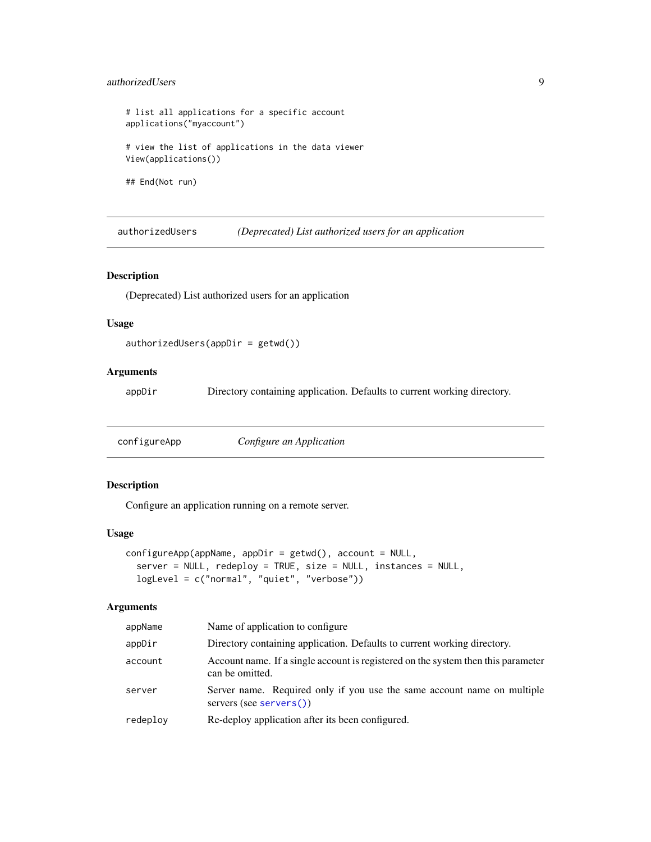#### <span id="page-8-0"></span>authorizedUsers 9

```
# list all applications for a specific account
applications("myaccount")
# view the list of applications in the data viewer
View(applications())
## End(Not run)
```
authorizedUsers *(Deprecated) List authorized users for an application*

#### Description

(Deprecated) List authorized users for an application

#### Usage

```
authorizedUsers(appDir = getwd())
```
### Arguments

appDir Directory containing application. Defaults to current working directory.

<span id="page-8-1"></span>configureApp *Configure an Application*

### Description

Configure an application running on a remote server.

#### Usage

```
configureApp(appName, appDir = getwd(), account = NULL,
  server = NULL, redeploy = TRUE, size = NULL, instances = NULL,
  logLevel = c("normal", "quiet", "verbose"))
```

| appName  | Name of application to configure                                                                     |
|----------|------------------------------------------------------------------------------------------------------|
| appDir   | Directory containing application. Defaults to current working directory.                             |
| account  | Account name. If a single account is registered on the system then this parameter<br>can be omitted. |
| server   | Server name. Required only if you use the same account name on multiple<br>servers (see servers())   |
| redeploy | Re-deploy application after its been configured.                                                     |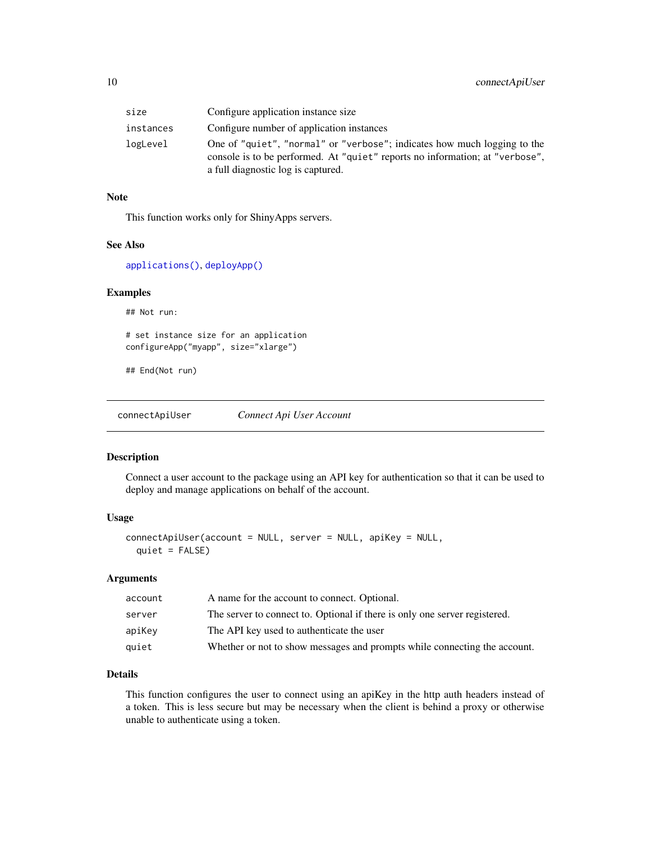<span id="page-9-0"></span>

| size      | Configure application instance size                                                                                                                                                            |
|-----------|------------------------------------------------------------------------------------------------------------------------------------------------------------------------------------------------|
| instances | Configure number of application instances                                                                                                                                                      |
| logLevel  | One of "quiet", "normal" or "verbose"; indicates how much logging to the<br>console is to be performed. At "quiet" reports no information; at "verbose",<br>a full diagnostic log is captured. |

#### Note

This function works only for ShinyApps servers.

#### See Also

[applications\(\)](#page-7-1), [deployApp\(\)](#page-11-1)

#### Examples

## Not run:

```
# set instance size for an application
configureApp("myapp", size="xlarge")
```
## End(Not run)

<span id="page-9-1"></span>connectApiUser *Connect Api User Account*

#### Description

Connect a user account to the package using an API key for authentication so that it can be used to deploy and manage applications on behalf of the account.

#### Usage

```
connectApiUser(account = NULL, server = NULL, apiKey = NULL,
  quiet = FALSE)
```
### Arguments

| account | A name for the account to connect. Optional.                               |
|---------|----------------------------------------------------------------------------|
| server  | The server to connect to. Optional if there is only one server registered. |
| apiKey  | The API key used to authenticate the user                                  |
| quiet   | Whether or not to show messages and prompts while connecting the account.  |

### Details

This function configures the user to connect using an apiKey in the http auth headers instead of a token. This is less secure but may be necessary when the client is behind a proxy or otherwise unable to authenticate using a token.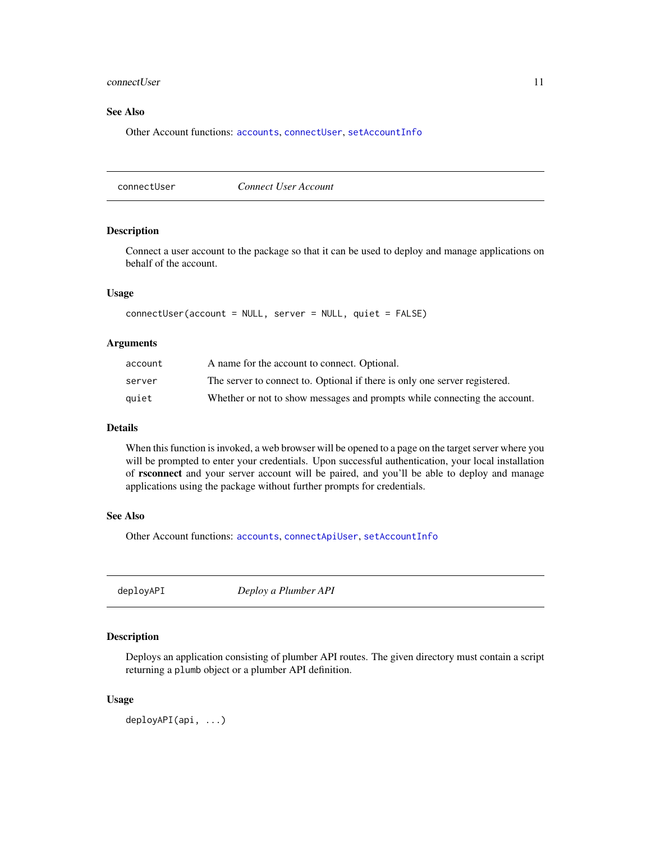#### <span id="page-10-0"></span>connectUser 11

### See Also

Other Account functions: [accounts](#page-2-2), [connectUser](#page-10-1), [setAccountInfo](#page-29-1)

<span id="page-10-1"></span>connectUser *Connect User Account*

#### Description

Connect a user account to the package so that it can be used to deploy and manage applications on behalf of the account.

### Usage

```
connectUser(account = NULL, server = NULL, quiet = FALSE)
```
#### Arguments

| account | A name for the account to connect. Optional.                               |
|---------|----------------------------------------------------------------------------|
| server  | The server to connect to. Optional if there is only one server registered. |
| auiet   | Whether or not to show messages and prompts while connecting the account.  |

#### Details

When this function is invoked, a web browser will be opened to a page on the target server where you will be prompted to enter your credentials. Upon successful authentication, your local installation of rsconnect and your server account will be paired, and you'll be able to deploy and manage applications using the package without further prompts for credentials.

#### See Also

Other Account functions: [accounts](#page-2-2), [connectApiUser](#page-9-1), [setAccountInfo](#page-29-1)

<span id="page-10-2"></span>deployAPI *Deploy a Plumber API*

#### Description

Deploys an application consisting of plumber API routes. The given directory must contain a script returning a plumb object or a plumber API definition.

#### Usage

deployAPI(api, ...)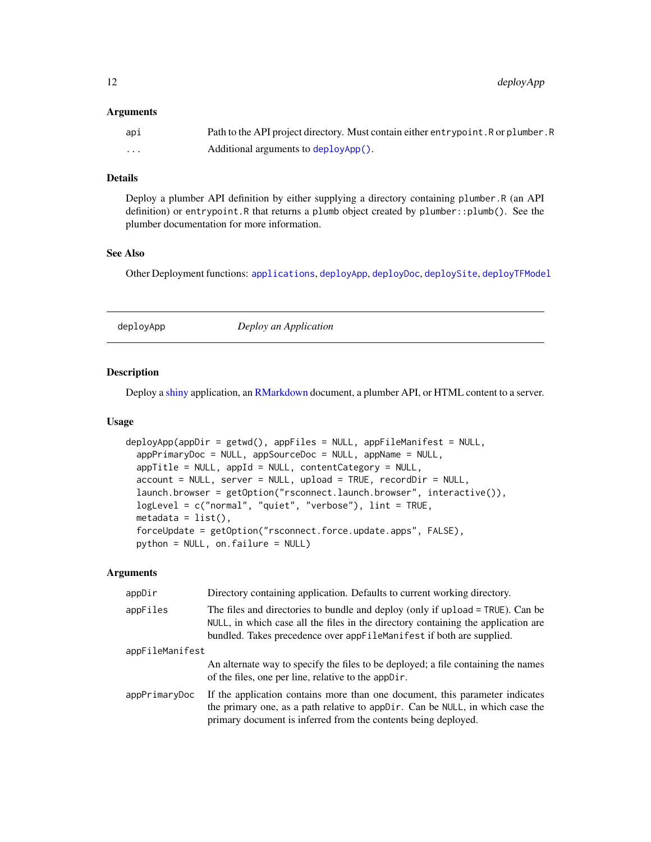<span id="page-11-0"></span>12 deployApp

#### **Arguments**

| api | Path to the API project directory. Must contain either entrypoint. R or plumber. R |
|-----|------------------------------------------------------------------------------------|
| .   | Additional arguments to deployApp().                                               |

#### Details

Deploy a plumber API definition by either supplying a directory containing plumber.R (an API definition) or entrypoint.R that returns a plumb object created by plumber::plumb(). See the plumber documentation for more information.

#### See Also

Other Deployment functions: [applications](#page-7-1), [deployApp](#page-11-1), [deployDoc](#page-13-1), [deploySite](#page-15-1), [deployTFModel](#page-16-1)

<span id="page-11-1"></span>

| Deploy an Application |
|-----------------------|
|-----------------------|

#### Description

Deploy a [shiny](#page-0-0) application, an [RMarkdown](#page-0-0) document, a plumber API, or HTML content to a server.

#### Usage

```
deployApp(appDir = getwd(), appFiles = NULL, appFileManifest = NULL,
  appPrimaryDoc = NULL, appSourceDoc = NULL, appSimime = NULL,
  appTitle = NULL, appId = NULL, contentCategory = NULL,
  account = NULL, server = NULL, upload = TRUE, recordDir = NULL,
  launch.browser = getOption("rsconnect.launch.browser", interactive()),
  logLevel = c("normal", "quiet", "verbose"), lint = TRUE,
 metadata = list(),forceUpdate = getOption("rsconnect.force.update.apps", FALSE),
 python = NULL, on.failure = NULL)
```

| appDir          | Directory containing application. Defaults to current working directory.                                                                                                                                                                    |  |
|-----------------|---------------------------------------------------------------------------------------------------------------------------------------------------------------------------------------------------------------------------------------------|--|
| appFiles        | The files and directories to bundle and deploy (only if upload = TRUE). Can be<br>NULL, in which case all the files in the directory containing the application are<br>bundled. Takes precedence over appFileManifest if both are supplied. |  |
| appFileManifest |                                                                                                                                                                                                                                             |  |
|                 | An alternate way to specify the files to be deployed; a file containing the names<br>of the files, one per line, relative to the appDir.                                                                                                    |  |
| appPrimaryDoc   | If the application contains more than one document, this parameter indicates<br>the primary one, as a path relative to app Dir. Can be NULL, in which case the<br>primary document is inferred from the contents being deployed.            |  |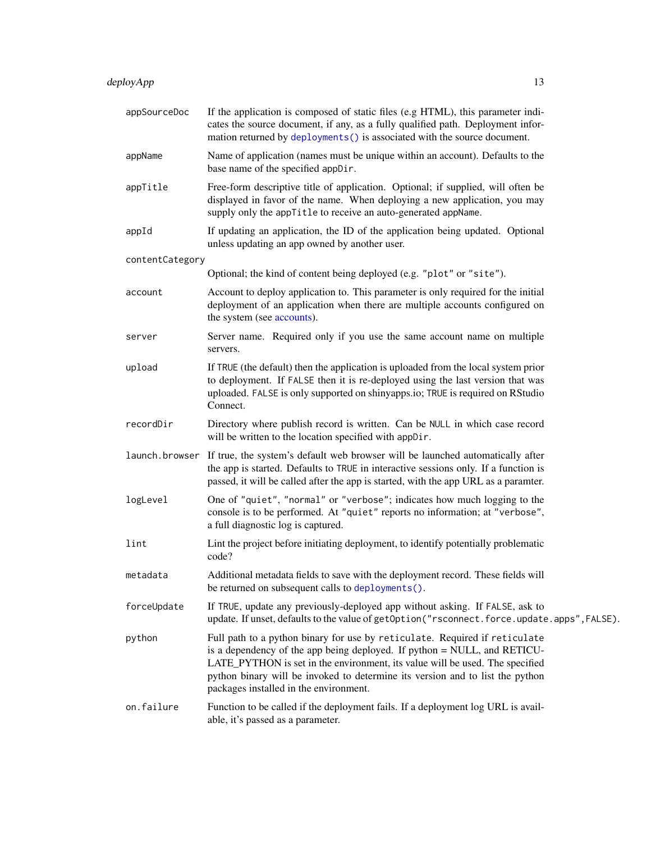<span id="page-12-0"></span>

| appSourceDoc    | If the application is composed of static files (e.g HTML), this parameter indi-<br>cates the source document, if any, as a fully qualified path. Deployment infor-<br>mation returned by deployments() is associated with the source document.                                                                                                                    |
|-----------------|-------------------------------------------------------------------------------------------------------------------------------------------------------------------------------------------------------------------------------------------------------------------------------------------------------------------------------------------------------------------|
| appName         | Name of application (names must be unique within an account). Defaults to the<br>base name of the specified appDir.                                                                                                                                                                                                                                               |
| appTitle        | Free-form descriptive title of application. Optional; if supplied, will often be<br>displayed in favor of the name. When deploying a new application, you may<br>supply only the appTitle to receive an auto-generated appName.                                                                                                                                   |
| appId           | If updating an application, the ID of the application being updated. Optional<br>unless updating an app owned by another user.                                                                                                                                                                                                                                    |
| contentCategory |                                                                                                                                                                                                                                                                                                                                                                   |
|                 | Optional; the kind of content being deployed (e.g. "plot" or "site").                                                                                                                                                                                                                                                                                             |
| account         | Account to deploy application to. This parameter is only required for the initial<br>deployment of an application when there are multiple accounts configured on<br>the system (see accounts).                                                                                                                                                                    |
| server          | Server name. Required only if you use the same account name on multiple<br>servers.                                                                                                                                                                                                                                                                               |
| upload          | If TRUE (the default) then the application is uploaded from the local system prior<br>to deployment. If FALSE then it is re-deployed using the last version that was<br>uploaded. FALSE is only supported on shinyapps.io; TRUE is required on RStudio<br>Connect.                                                                                                |
| recordDir       | Directory where publish record is written. Can be NULL in which case record<br>will be written to the location specified with appDir.                                                                                                                                                                                                                             |
| launch.browser  | If true, the system's default web browser will be launched automatically after<br>the app is started. Defaults to TRUE in interactive sessions only. If a function is<br>passed, it will be called after the app is started, with the app URL as a paramter.                                                                                                      |
| logLevel        | One of "quiet", "normal" or "verbose"; indicates how much logging to the<br>console is to be performed. At "quiet" reports no information; at "verbose",<br>a full diagnostic log is captured.                                                                                                                                                                    |
| lint            | Lint the project before initiating deployment, to identify potentially problematic<br>code?                                                                                                                                                                                                                                                                       |
| metadata        | Additional metadata fields to save with the deployment record. These fields will<br>be returned on subsequent calls to deployments().                                                                                                                                                                                                                             |
| forceUpdate     | If TRUE, update any previously-deployed app without asking. If FALSE, ask to<br>update. If unset, defaults to the value of getOption("rsconnect.force.update.apps", FALSE).                                                                                                                                                                                       |
| python          | Full path to a python binary for use by reticulate. Required if reticulate<br>is a dependency of the app being deployed. If python = NULL, and RETICU-<br>LATE_PYTHON is set in the environment, its value will be used. The specified<br>python binary will be invoked to determine its version and to list the python<br>packages installed in the environment. |
| on.failure      | Function to be called if the deployment fails. If a deployment log URL is avail-<br>able, it's passed as a parameter.                                                                                                                                                                                                                                             |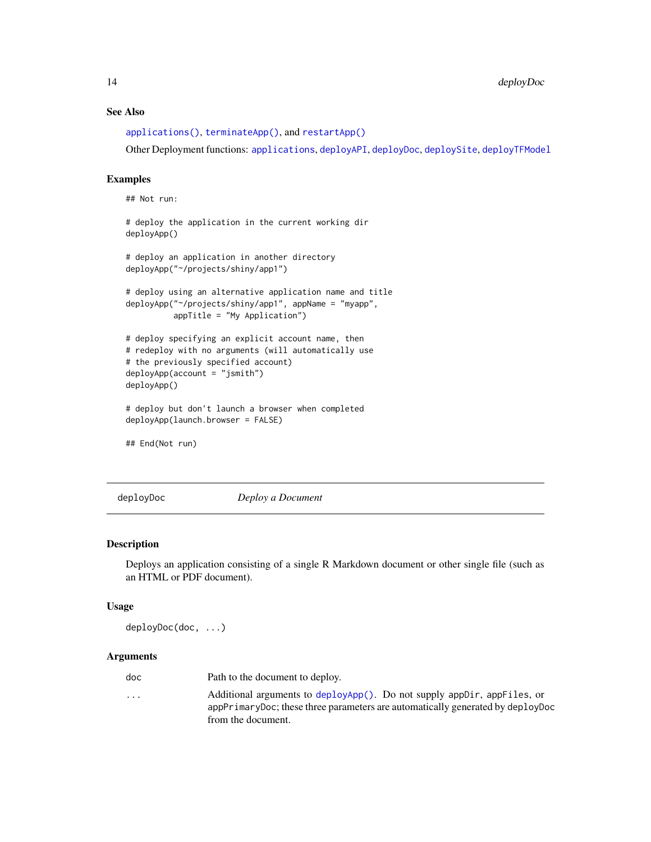### See Also

[applications\(\)](#page-7-1), [terminateApp\(\)](#page-36-1), and [restartApp\(\)](#page-23-1)

Other Deployment functions: [applications](#page-7-1), [deployAPI](#page-10-2), [deployDoc](#page-13-1), [deploySite](#page-15-1), [deployTFModel](#page-16-1)

#### Examples

## Not run:

# deploy the application in the current working dir deployApp()

```
# deploy an application in another directory
deployApp("~/projects/shiny/app1")
```

```
# deploy using an alternative application name and title
deployApp("~/projects/shiny/app1", appName = "myapp",
         appTitle = "My Application")
```

```
# deploy specifying an explicit account name, then
# redeploy with no arguments (will automatically use
# the previously specified account)
deployApp(account = "jsmith")
deployApp()
```
# deploy but don't launch a browser when completed deployApp(launch.browser = FALSE)

## End(Not run)

<span id="page-13-1"></span>deployDoc *Deploy a Document*

### Description

Deploys an application consisting of a single R Markdown document or other single file (such as an HTML or PDF document).

#### Usage

deployDoc(doc, ...)

| doc                     | Path to the document to deploy.                                                                                                                           |
|-------------------------|-----------------------------------------------------------------------------------------------------------------------------------------------------------|
| $\cdot$ $\cdot$ $\cdot$ | Additional arguments to deployApp(). Do not supply appDir, appFiles, or<br>appPrimaryDoc; these three parameters are automatically generated by deployDoc |
|                         | from the document.                                                                                                                                        |

<span id="page-13-0"></span>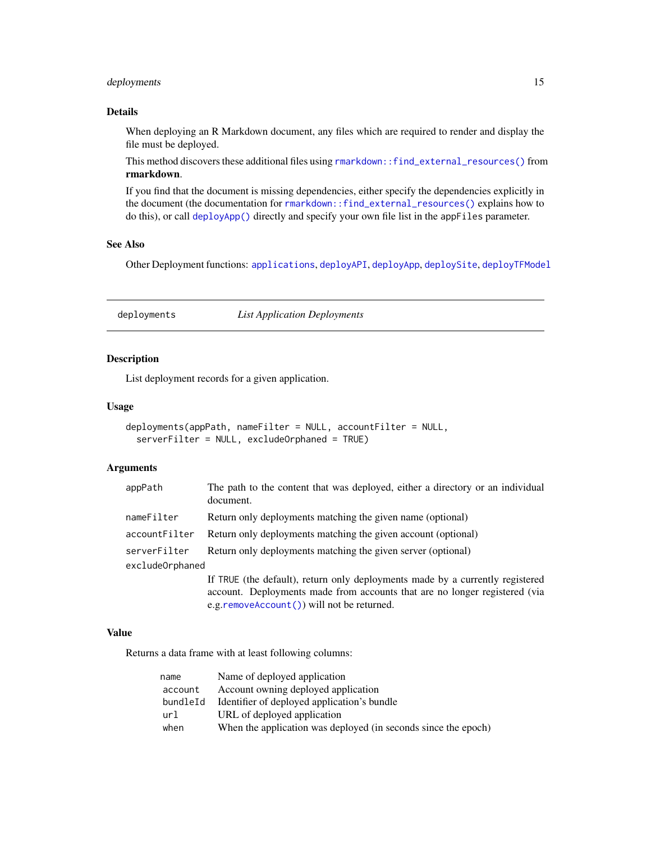### <span id="page-14-0"></span>deployments and  $15$

#### Details

When deploying an R Markdown document, any files which are required to render and display the file must be deployed.

This method discovers these additional files using [rmarkdown::find\\_external\\_resources\(\)](#page-0-0) from rmarkdown.

If you find that the document is missing dependencies, either specify the dependencies explicitly in the document (the documentation for [rmarkdown::find\\_external\\_resources\(\)](#page-0-0) explains how to do this), or call [deployApp\(\)](#page-11-1) directly and specify your own file list in the appFiles parameter.

### See Also

Other Deployment functions: [applications](#page-7-1), [deployAPI](#page-10-2), [deployApp](#page-11-1), [deploySite](#page-15-1), [deployTFModel](#page-16-1)

<span id="page-14-1"></span>deployments *List Application Deployments*

#### Description

List deployment records for a given application.

#### Usage

```
deployments(appPath, nameFilter = NULL, accountFilter = NULL,
  serverFilter = NULL, excludeOrphaned = TRUE)
```
#### Arguments

| appPath         | The path to the content that was deployed, either a directory or an individual<br>document. |
|-----------------|---------------------------------------------------------------------------------------------|
| nameFilter      | Return only deployments matching the given name (optional)                                  |
| accountFilter   | Return only deployments matching the given account (optional)                               |
| serverFilter    | Return only deployments matching the given server (optional)                                |
| excludeOrphaned |                                                                                             |
|                 | If TRUE (the default), return only deployments made by a currently registered               |
|                 | account. Deployments made from accounts that are no longer registered (via                  |
|                 | e.g.removeAccount()) will not be returned.                                                  |

#### Value

Returns a data frame with at least following columns:

| name     | Name of deployed application                                   |
|----------|----------------------------------------------------------------|
| account  | Account owning deployed application                            |
| bundleId | Identifier of deployed application's bundle                    |
| url      | URL of deployed application                                    |
| when     | When the application was deployed (in seconds since the epoch) |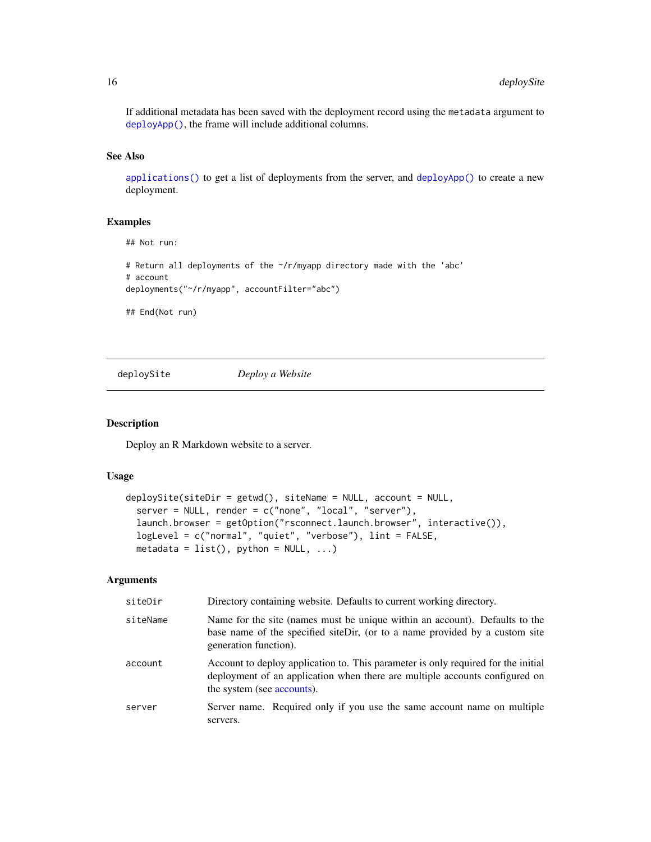If additional metadata has been saved with the deployment record using the metadata argument to [deployApp\(\)](#page-11-1), the frame will include additional columns.

### See Also

[applications\(\)](#page-7-1) to get a list of deployments from the server, and [deployApp\(\)](#page-11-1) to create a new deployment.

### Examples

## Not run:

```
# Return all deployments of the ~/r/myapp directory made with the 'abc'
# account
deployments("~/r/myapp", accountFilter="abc")
```
## End(Not run)

<span id="page-15-1"></span>deploySite *Deploy a Website*

#### Description

Deploy an R Markdown website to a server.

#### Usage

```
deploySite(sideDir = getwd(), siteName = NULL, account = NULL,server = NULL, render = c("none", "local", "server"),launch.browser = getOption("rsconnect.launch.browser", interactive()),
  logLevel = c("normal", "quiet", "verbose"), lint = FALSE,
 metadata = list(), python = NULL, ...)
```

| siteDir  | Directory containing website. Defaults to current working directory.                                                                                                                           |
|----------|------------------------------------------------------------------------------------------------------------------------------------------------------------------------------------------------|
| siteName | Name for the site (names must be unique within an account). Defaults to the<br>base name of the specified siteDir, (or to a name provided by a custom site<br>generation function).            |
| account  | Account to deploy application to. This parameter is only required for the initial<br>deployment of an application when there are multiple accounts configured on<br>the system (see accounts). |
| server   | Server name. Required only if you use the same account name on multiple<br>servers.                                                                                                            |

<span id="page-15-0"></span>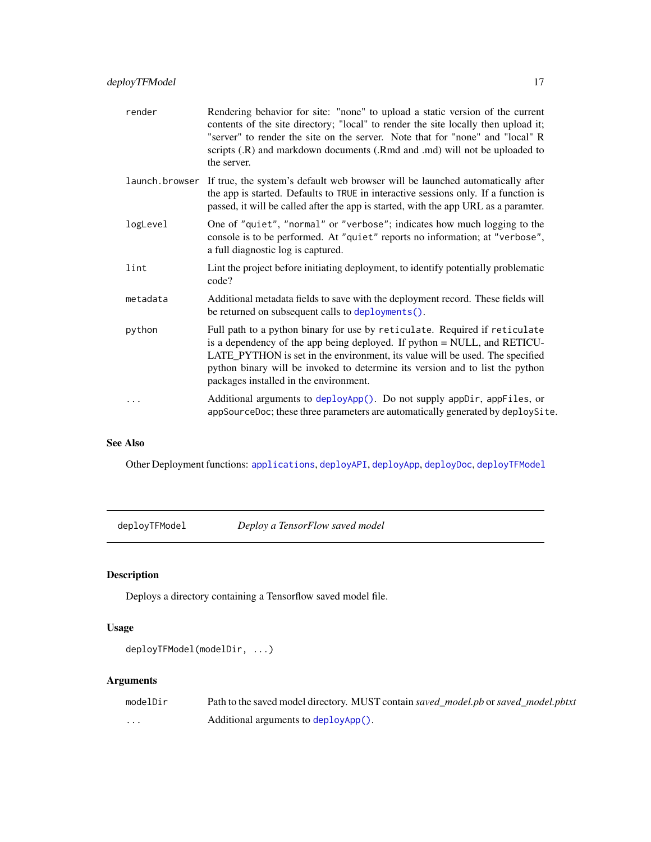<span id="page-16-0"></span>

| render   | Rendering behavior for site: "none" to upload a static version of the current<br>contents of the site directory; "local" to render the site locally then upload it;<br>"server" to render the site on the server. Note that for "none" and "local" R<br>scripts (.R) and markdown documents (.Rmd and .md) will not be uploaded to<br>the server.                 |
|----------|-------------------------------------------------------------------------------------------------------------------------------------------------------------------------------------------------------------------------------------------------------------------------------------------------------------------------------------------------------------------|
|          | launch browser If true, the system's default web browser will be launched automatically after<br>the app is started. Defaults to TRUE in interactive sessions only. If a function is<br>passed, it will be called after the app is started, with the app URL as a paramter.                                                                                       |
| logLevel | One of "quiet", "normal" or "verbose"; indicates how much logging to the<br>console is to be performed. At "quiet" reports no information; at "verbose",<br>a full diagnostic log is captured.                                                                                                                                                                    |
| lint     | Lint the project before initiating deployment, to identify potentially problematic<br>code?                                                                                                                                                                                                                                                                       |
| metadata | Additional metadata fields to save with the deployment record. These fields will<br>be returned on subsequent calls to deployments().                                                                                                                                                                                                                             |
| python   | Full path to a python binary for use by reticulate. Required if reticulate<br>is a dependency of the app being deployed. If python = NULL, and RETICU-<br>LATE_PYTHON is set in the environment, its value will be used. The specified<br>python binary will be invoked to determine its version and to list the python<br>packages installed in the environment. |
| $\cdots$ | Additional arguments to deployApp(). Do not supply appDir, appFiles, or<br>appSourceDoc; these three parameters are automatically generated by deploySite.                                                                                                                                                                                                        |

### See Also

Other Deployment functions: [applications](#page-7-1), [deployAPI](#page-10-2), [deployApp](#page-11-1), [deployDoc](#page-13-1), [deployTFModel](#page-16-1)

<span id="page-16-1"></span>deployTFModel *Deploy a TensorFlow saved model*

### Description

Deploys a directory containing a Tensorflow saved model file.

### Usage

```
deployTFModel(modelDir, ...)
```

| modelDir | Path to the saved model directory. MUST contain saved model, pb or saved model, pbtxt |
|----------|---------------------------------------------------------------------------------------|
| .        | Additional arguments to deployApp().                                                  |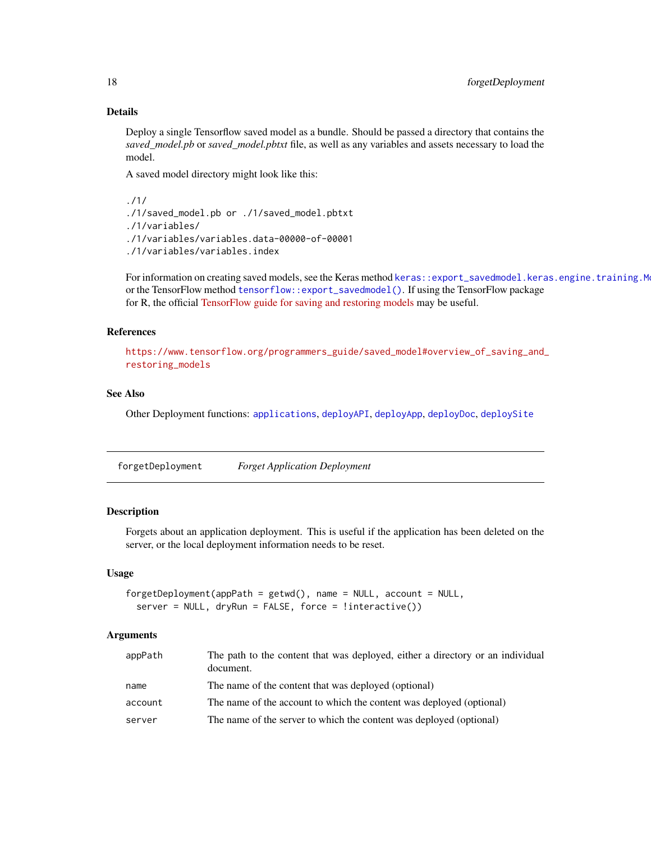### Details

Deploy a single Tensorflow saved model as a bundle. Should be passed a directory that contains the *saved\_model.pb* or *saved\_model.pbtxt* file, as well as any variables and assets necessary to load the model.

A saved model directory might look like this:

./1/ ./1/saved\_model.pb or ./1/saved\_model.pbtxt ./1/variables/ ./1/variables/variables.data-00000-of-00001 ./1/variables/variables.index

For information on creating saved models, see the Keras method keras::export\_savedmodel.keras.engine.training.M or the TensorFlow method [tensorflow::export\\_savedmodel\(\)](#page-0-0). If using the TensorFlow package for R, the official [TensorFlow guide for saving and restoring models](https://www.tensorflow.org/programmers_guide/saved_model#overview_of_saving_and_restoring_models) may be useful.

#### References

```
https://www.tensorflow.org/programmers_guide/saved_model#overview_of_saving_and_
restoring_models
```
### See Also

Other Deployment functions: [applications](#page-7-1), [deployAPI](#page-10-2), [deployApp](#page-11-1), [deployDoc](#page-13-1), [deploySite](#page-15-1)

forgetDeployment *Forget Application Deployment*

#### Description

Forgets about an application deployment. This is useful if the application has been deleted on the server, or the local deployment information needs to be reset.

#### Usage

```
forgetDeployment(appPath = getwd(), name = NULL, account = NULL,
  server = NULL, dryRun = FALSE, force = !interactive())
```

| appPath | The path to the content that was deployed, either a directory or an individual<br>document. |
|---------|---------------------------------------------------------------------------------------------|
| name    | The name of the content that was deployed (optional)                                        |
| account | The name of the account to which the content was deployed (optional)                        |
| server  | The name of the server to which the content was deployed (optional)                         |

<span id="page-17-0"></span>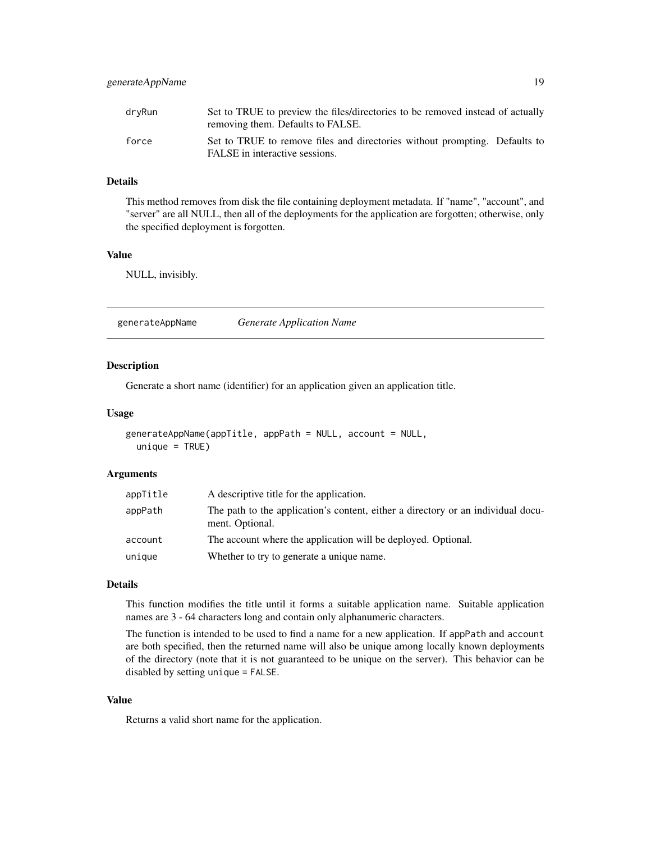<span id="page-18-0"></span>

| dryRun | Set to TRUE to preview the files/directories to be removed instead of actually<br>removing them. Defaults to FALSE. |
|--------|---------------------------------------------------------------------------------------------------------------------|
| force  | Set to TRUE to remove files and directories without prompting. Defaults to<br>FALSE in interactive sessions.        |

### Details

This method removes from disk the file containing deployment metadata. If "name", "account", and "server" are all NULL, then all of the deployments for the application are forgotten; otherwise, only the specified deployment is forgotten.

#### Value

NULL, invisibly.

generateAppName *Generate Application Name*

#### Description

Generate a short name (identifier) for an application given an application title.

#### Usage

```
generateAppName(appTitle, appPath = NULL, account = NULL,
  unique = TRUE)
```
#### Arguments

| appTitle | A descriptive title for the application.                                                            |
|----------|-----------------------------------------------------------------------------------------------------|
| appPath  | The path to the application's content, either a directory or an individual docu-<br>ment. Optional. |
| account  | The account where the application will be deployed. Optional.                                       |
| unique   | Whether to try to generate a unique name.                                                           |

#### Details

This function modifies the title until it forms a suitable application name. Suitable application names are 3 - 64 characters long and contain only alphanumeric characters.

The function is intended to be used to find a name for a new application. If appPath and account are both specified, then the returned name will also be unique among locally known deployments of the directory (note that it is not guaranteed to be unique on the server). This behavior can be disabled by setting unique = FALSE.

#### Value

Returns a valid short name for the application.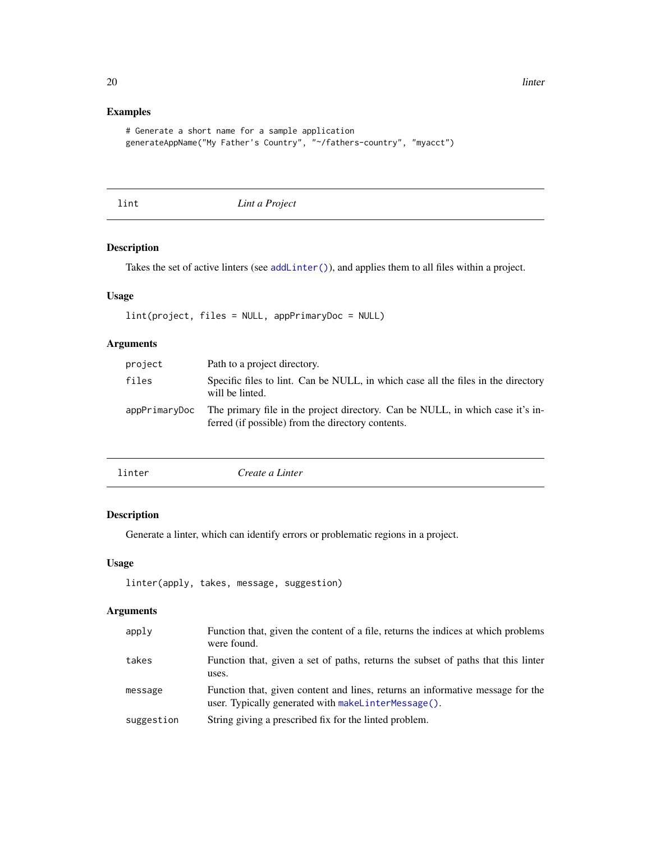### Examples

```
# Generate a short name for a sample application
generateAppName("My Father's Country", "~/fathers-country", "myacct")
```
<span id="page-19-1"></span>lint *Lint a Project*

### Description

Takes the set of active linters (see [addLinter\(\)](#page-4-1)), and applies them to all files within a project.

### Usage

lint(project, files = NULL, appPrimaryDoc = NULL)

### Arguments

| project       | Path to a project directory.                                                                                                        |
|---------------|-------------------------------------------------------------------------------------------------------------------------------------|
| files         | Specific files to lint. Can be NULL, in which case all the files in the directory<br>will be linted.                                |
| appPrimaryDoc | The primary file in the project directory. Can be NULL, in which case it's in-<br>ferred (if possible) from the directory contents. |

<span id="page-19-2"></span>

| linter | Create a Linter |
|--------|-----------------|
|        |                 |

### Description

Generate a linter, which can identify errors or problematic regions in a project.

#### Usage

```
linter(apply, takes, message, suggestion)
```

| apply      | Function that, given the content of a file, returns the indices at which problems<br>were found.                                      |
|------------|---------------------------------------------------------------------------------------------------------------------------------------|
| takes      | Function that, given a set of paths, returns the subset of paths that this linter<br>uses.                                            |
| message    | Function that, given content and lines, returns an informative message for the<br>user. Typically generated with makelinterMessage(). |
| suggestion | String giving a prescribed fix for the linted problem.                                                                                |

<span id="page-19-0"></span>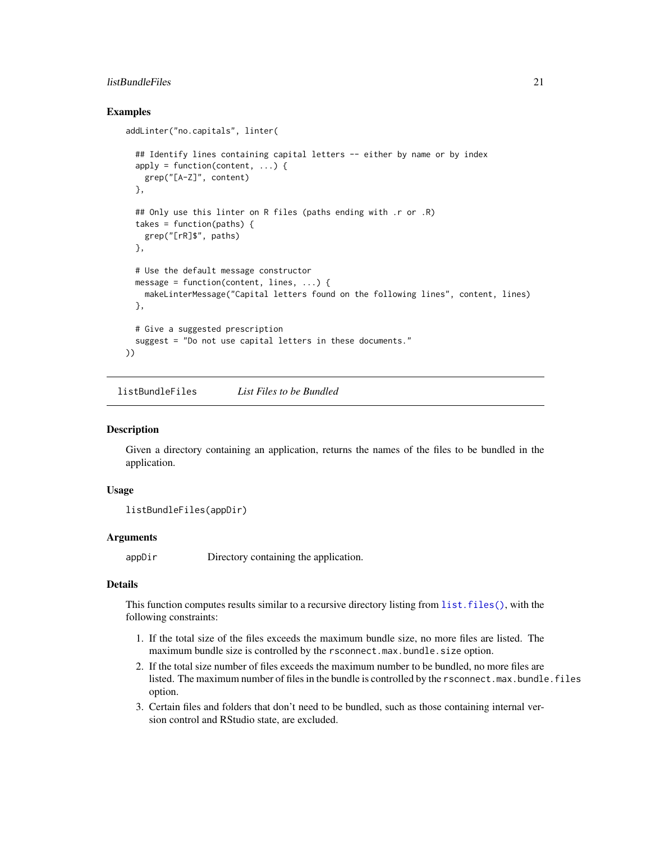### <span id="page-20-0"></span>listBundleFiles 21

#### Examples

```
addLinter("no.capitals", linter(
 ## Identify lines containing capital letters -- either by name or by index
 apply = function(content, ...)grep("[A-Z]", content)
 },
 ## Only use this linter on R files (paths ending with .r or .R)
 takes = function(paths) {
   grep("[rR]$", paths)
 },
 # Use the default message constructor
 message = function(content, lines, \ldots) {
   makeLinterMessage("Capital letters found on the following lines", content, lines)
 },
 # Give a suggested prescription
 suggest = "Do not use capital letters in these documents."
))
```
listBundleFiles *List Files to be Bundled*

#### Description

Given a directory containing an application, returns the names of the files to be bundled in the application.

#### Usage

```
listBundleFiles(appDir)
```
### Arguments

appDir Directory containing the application.

### Details

This function computes results similar to a recursive directory listing from list. files(), with the following constraints:

- 1. If the total size of the files exceeds the maximum bundle size, no more files are listed. The maximum bundle size is controlled by the rsconnect.max.bundle.size option.
- 2. If the total size number of files exceeds the maximum number to be bundled, no more files are listed. The maximum number of files in the bundle is controlled by the rsconnect.max.bundle.files option.
- 3. Certain files and folders that don't need to be bundled, such as those containing internal version control and RStudio state, are excluded.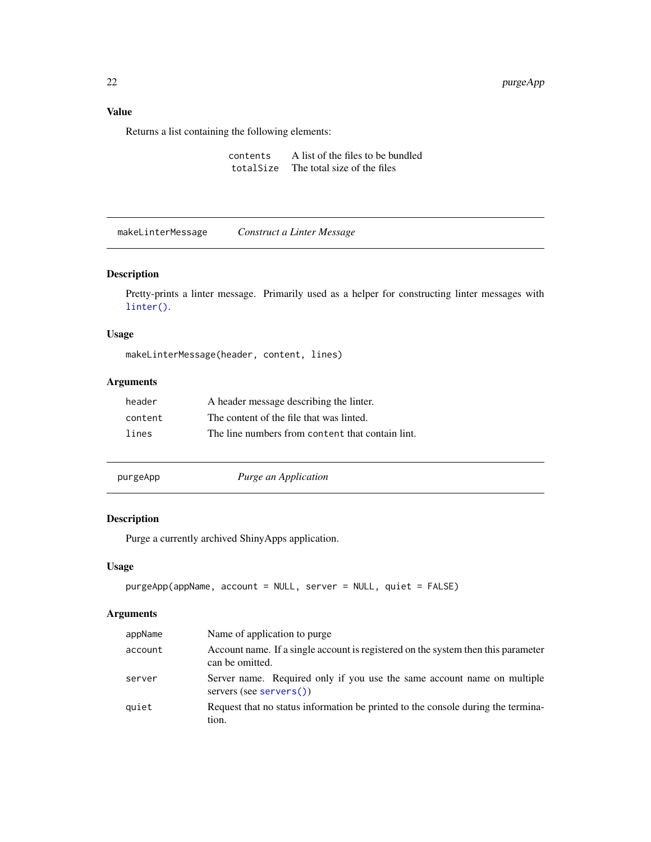### <span id="page-21-0"></span>Value

Returns a list containing the following elements:

contents A list of the files to be bundled totalSize The total size of the files

<span id="page-21-1"></span>makeLinterMessage *Construct a Linter Message*

### Description

Pretty-prints a linter message. Primarily used as a helper for constructing linter messages with [linter\(\)](#page-19-2).

### Usage

makeLinterMessage(header, content, lines)

### Arguments

| header  | A header message describing the linter.          |
|---------|--------------------------------------------------|
| content | The content of the file that was linted.         |
| lines   | The line numbers from content that contain lint. |

purgeApp *Purge an Application*

#### Description

Purge a currently archived ShinyApps application.

### Usage

```
purgeApp(appName, account = NULL, server = NULL, quiet = FALSE)
```

| appName | Name of application to purge.                                                                        |
|---------|------------------------------------------------------------------------------------------------------|
| account | Account name. If a single account is registered on the system then this parameter<br>can be omitted. |
| server  | Server name. Required only if you use the same account name on multiple<br>servers (see servers())   |
| quiet   | Request that no status information be printed to the console during the termina-<br>tion.            |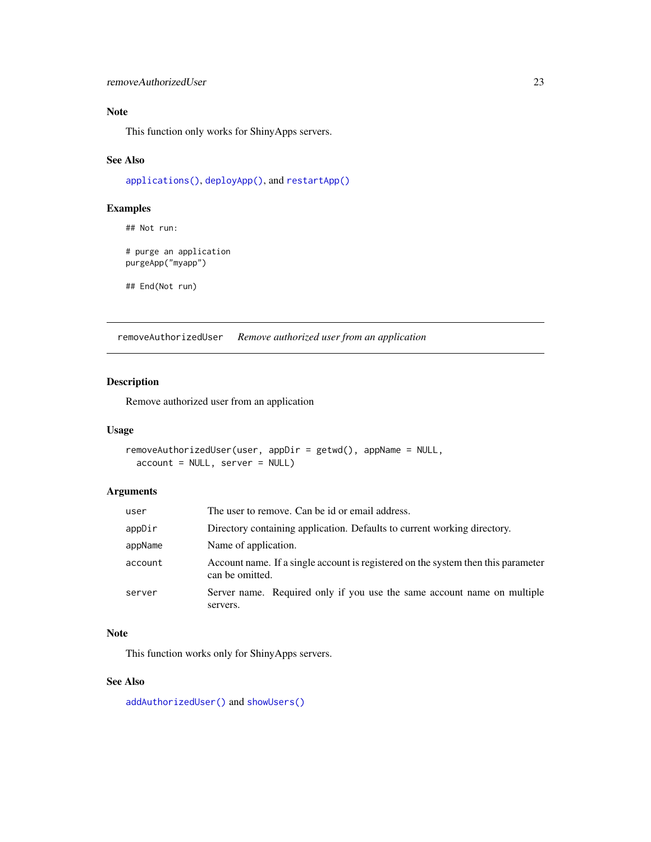### <span id="page-22-0"></span>Note

This function only works for ShinyApps servers.

#### See Also

[applications\(\)](#page-7-1), [deployApp\(\)](#page-11-1), and [restartApp\(\)](#page-23-1)

### Examples

## Not run: # purge an application purgeApp("myapp")

## End(Not run)

<span id="page-22-1"></span>removeAuthorizedUser *Remove authorized user from an application*

#### Description

Remove authorized user from an application

#### Usage

```
removeAuthorizedUser(user, appDir = getwd(), appName = NULL,
 account = NULL, server = NULL)
```
### Arguments

| user    | The user to remove. Can be id or email address.                                                      |
|---------|------------------------------------------------------------------------------------------------------|
| appDir  | Directory containing application. Defaults to current working directory.                             |
| appName | Name of application.                                                                                 |
| account | Account name. If a single account is registered on the system then this parameter<br>can be omitted. |
| server  | Server name. Required only if you use the same account name on multiple<br>servers.                  |

### Note

This function works only for ShinyApps servers.

#### See Also

[addAuthorizedUser\(\)](#page-4-2) and [showUsers\(\)](#page-34-1)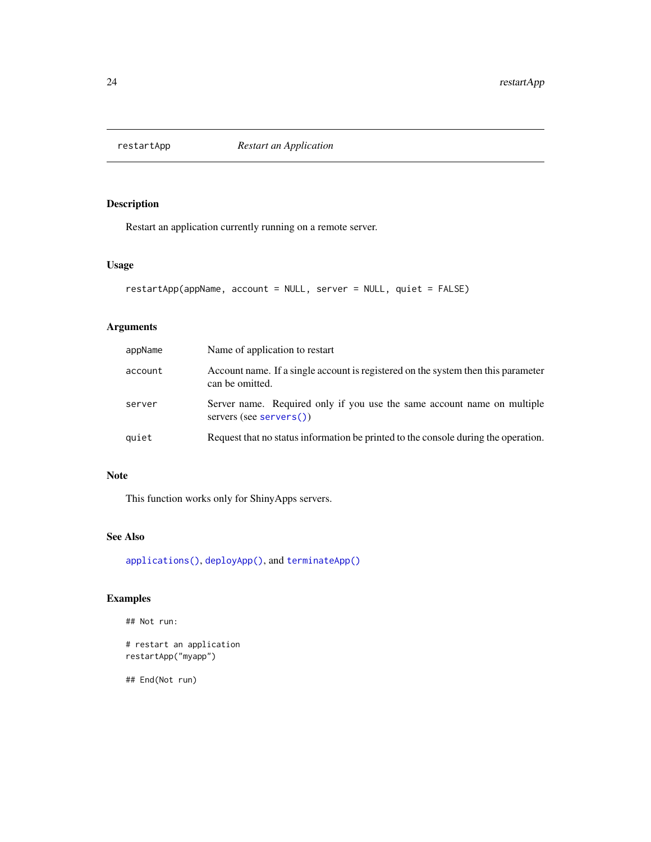<span id="page-23-1"></span><span id="page-23-0"></span>

### Description

Restart an application currently running on a remote server.

#### Usage

```
restartApp(appName, account = NULL, server = NULL, quiet = FALSE)
```
### Arguments

| appName | Name of application to restart                                                                       |
|---------|------------------------------------------------------------------------------------------------------|
| account | Account name. If a single account is registered on the system then this parameter<br>can be omitted. |
| server  | Server name. Required only if you use the same account name on multiple<br>servers (see servers())   |
| quiet   | Request that no status information be printed to the console during the operation.                   |

### Note

This function works only for ShinyApps servers.

### See Also

[applications\(\)](#page-7-1), [deployApp\(\)](#page-11-1), and [terminateApp\(\)](#page-36-1)

### Examples

```
## Not run:
```

```
# restart an application
restartApp("myapp")
```
## End(Not run)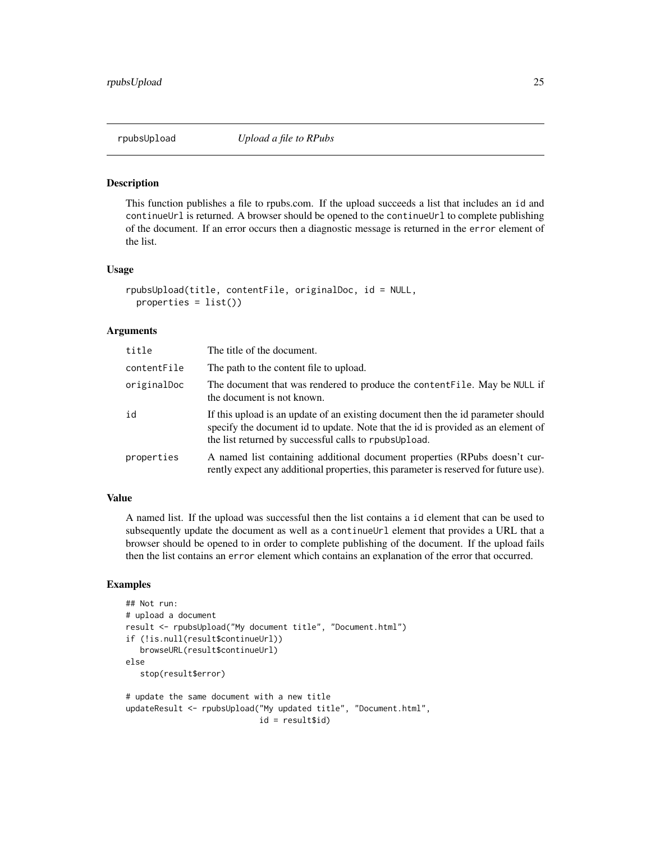<span id="page-24-0"></span>

#### Description

This function publishes a file to rpubs.com. If the upload succeeds a list that includes an id and continueUrl is returned. A browser should be opened to the continueUrl to complete publishing of the document. If an error occurs then a diagnostic message is returned in the error element of the list.

#### Usage

```
rpubsUpload(title, contentFile, originalDoc, id = NULL,
 properties = list())
```
#### Arguments

| title       | The title of the document.                                                                                                                                                                                                     |
|-------------|--------------------------------------------------------------------------------------------------------------------------------------------------------------------------------------------------------------------------------|
| contentFile | The path to the content file to upload.                                                                                                                                                                                        |
| originalDoc | The document that was rendered to produce the content File. May be NULL if<br>the document is not known.                                                                                                                       |
| id          | If this upload is an update of an existing document then the id parameter should<br>specify the document id to update. Note that the id is provided as an element of<br>the list returned by successful calls to rpubs Upload. |
| properties  | A named list containing additional document properties (RPubs doesn't cur-<br>rently expect any additional properties, this parameter is reserved for future use).                                                             |

### Value

A named list. If the upload was successful then the list contains a id element that can be used to subsequently update the document as well as a continueUrl element that provides a URL that a browser should be opened to in order to complete publishing of the document. If the upload fails then the list contains an error element which contains an explanation of the error that occurred.

#### Examples

```
## Not run:
# upload a document
result <- rpubsUpload("My document title", "Document.html")
if (!is.null(result$continueUrl))
   browseURL(result$continueUrl)
else
   stop(result$error)
# update the same document with a new title
updateResult <- rpubsUpload("My updated title", "Document.html",
```

```
id = result$id)
```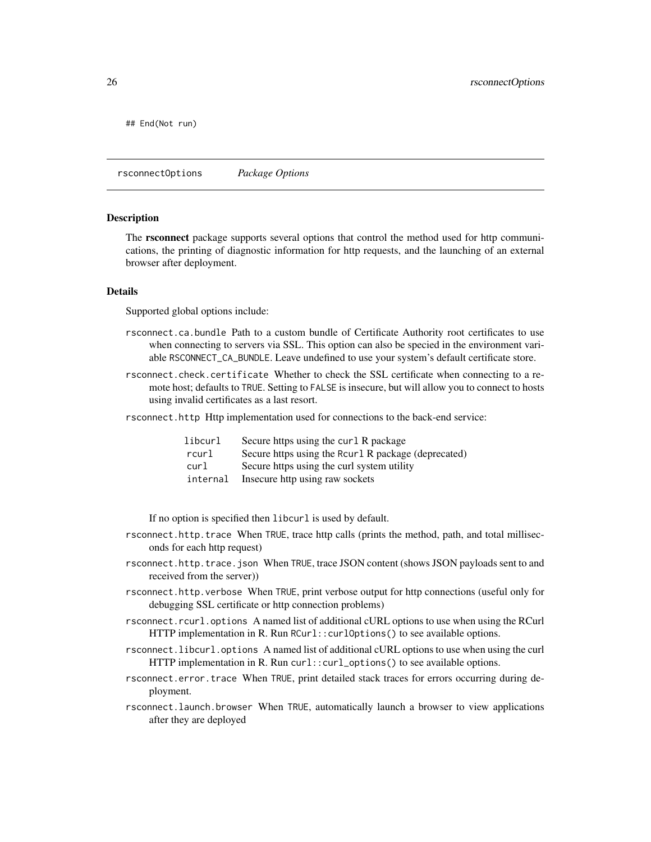<span id="page-25-0"></span>## End(Not run)

rsconnectOptions *Package Options*

#### **Description**

The rsconnect package supports several options that control the method used for http communications, the printing of diagnostic information for http requests, and the launching of an external browser after deployment.

#### Details

Supported global options include:

- rsconnect.ca.bundle Path to a custom bundle of Certificate Authority root certificates to use when connecting to servers via SSL. This option can also be specied in the environment variable RSCONNECT\_CA\_BUNDLE. Leave undefined to use your system's default certificate store.
- rsconnect.check.certificate Whether to check the SSL certificate when connecting to a remote host; defaults to TRUE. Setting to FALSE is insecure, but will allow you to connect to hosts using invalid certificates as a last resort.
- rsconnect.http Http implementation used for connections to the back-end service:

| libcurl  | Secure https using the curl R package                |
|----------|------------------------------------------------------|
| rcurl    | Secure https using the Rour 1 R package (deprecated) |
| curl     | Secure https using the curl system utility           |
| internal | Insecure http using raw sockets                      |

If no option is specified then libcurl is used by default.

- rsconnect.http.trace When TRUE, trace http calls (prints the method, path, and total milliseconds for each http request)
- rsconnect.http.trace.json When TRUE, trace JSON content (shows JSON payloads sent to and received from the server))
- rsconnect.http.verbose When TRUE, print verbose output for http connections (useful only for debugging SSL certificate or http connection problems)
- rsconnect.rcurl.options A named list of additional cURL options to use when using the RCurl HTTP implementation in R. Run RCurl::curlOptions() to see available options.
- rsconnect.libcurl.options A named list of additional cURL options to use when using the curl HTTP implementation in R. Run curl::curl\_options() to see available options.
- rsconnect.error.trace When TRUE, print detailed stack traces for errors occurring during deployment.
- rsconnect.launch.browser When TRUE, automatically launch a browser to view applications after they are deployed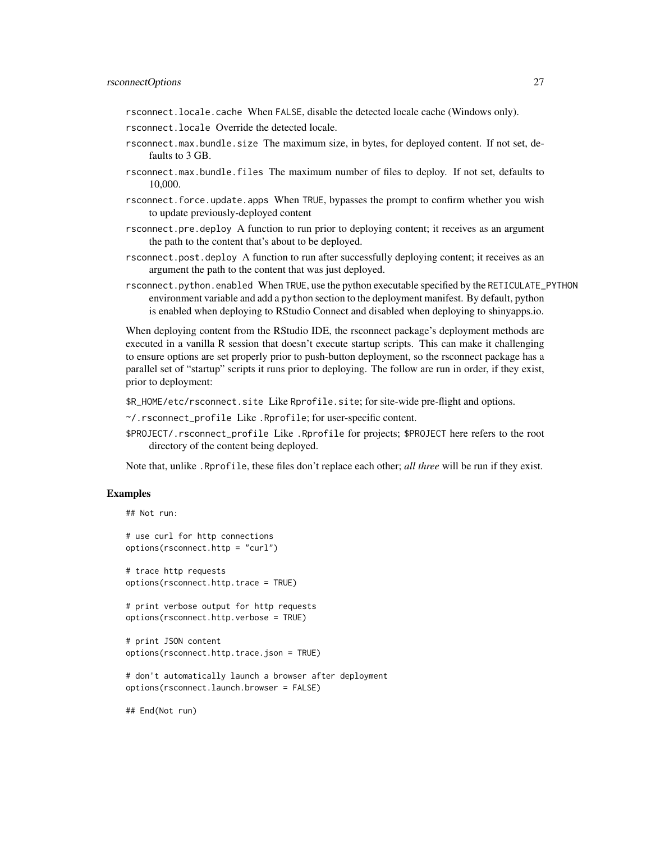#### rsconnectOptions 27

rsconnect.locale.cache When FALSE, disable the detected locale cache (Windows only).

- rsconnect.locale Override the detected locale.
- rsconnect.max.bundle.size The maximum size, in bytes, for deployed content. If not set, defaults to 3 GB.
- rsconnect.max.bundle.files The maximum number of files to deploy. If not set, defaults to 10,000.
- rsconnect.force.update.apps When TRUE, bypasses the prompt to confirm whether you wish to update previously-deployed content
- rsconnect.pre.deploy A function to run prior to deploying content; it receives as an argument the path to the content that's about to be deployed.
- rsconnect.post.deploy A function to run after successfully deploying content; it receives as an argument the path to the content that was just deployed.
- rsconnect.python.enabled When TRUE, use the python executable specified by the RETICULATE\_PYTHON environment variable and add a python section to the deployment manifest. By default, python is enabled when deploying to RStudio Connect and disabled when deploying to shinyapps.io.

When deploying content from the RStudio IDE, the rsconnect package's deployment methods are executed in a vanilla R session that doesn't execute startup scripts. This can make it challenging to ensure options are set properly prior to push-button deployment, so the rsconnect package has a parallel set of "startup" scripts it runs prior to deploying. The follow are run in order, if they exist, prior to deployment:

\$R\_HOME/etc/rsconnect.site Like Rprofile.site; for site-wide pre-flight and options.

~/.rsconnect\_profile Like .Rprofile; for user-specific content.

\$PROJECT/.rsconnect\_profile Like .Rprofile for projects; \$PROJECT here refers to the root directory of the content being deployed.

Note that, unlike .Rprofile, these files don't replace each other; *all three* will be run if they exist.

#### Examples

```
## Not run:
# use curl for http connections
options(rsconnect.http = "curl")
# trace http requests
options(rsconnect.http.trace = TRUE)
# print verbose output for http requests
options(rsconnect.http.verbose = TRUE)
# print JSON content
options(rsconnect.http.trace.json = TRUE)
# don't automatically launch a browser after deployment
options(rsconnect.launch.browser = FALSE)
## End(Not run)
```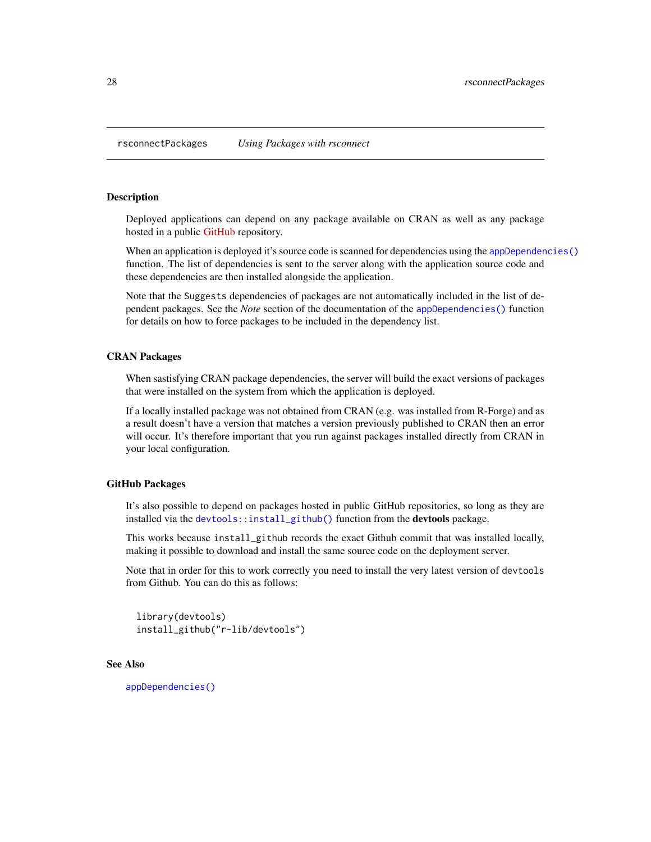<span id="page-27-1"></span><span id="page-27-0"></span>rsconnectPackages *Using Packages with rsconnect*

#### Description

Deployed applications can depend on any package available on CRAN as well as any package hosted in a public [GitHub](https://www.github.com) repository.

When an application is deployed it's source code is scanned for dependencies using the [appDependencies\(\)](#page-5-1) function. The list of dependencies is sent to the server along with the application source code and these dependencies are then installed alongside the application.

Note that the Suggests dependencies of packages are not automatically included in the list of dependent packages. See the *Note* section of the documentation of the [appDependencies\(\)](#page-5-1) function for details on how to force packages to be included in the dependency list.

#### CRAN Packages

When sastisfying CRAN package dependencies, the server will build the exact versions of packages that were installed on the system from which the application is deployed.

If a locally installed package was not obtained from CRAN (e.g. was installed from R-Forge) and as a result doesn't have a version that matches a version previously published to CRAN then an error will occur. It's therefore important that you run against packages installed directly from CRAN in your local configuration.

#### GitHub Packages

It's also possible to depend on packages hosted in public GitHub repositories, so long as they are installed via the [devtools::install\\_github\(\)](#page-0-0) function from the devtools package.

This works because install\_github records the exact Github commit that was installed locally, making it possible to download and install the same source code on the deployment server.

Note that in order for this to work correctly you need to install the very latest version of devtools from Github. You can do this as follows:

```
library(devtools)
install_github("r-lib/devtools")
```
#### See Also

[appDependencies\(\)](#page-5-1)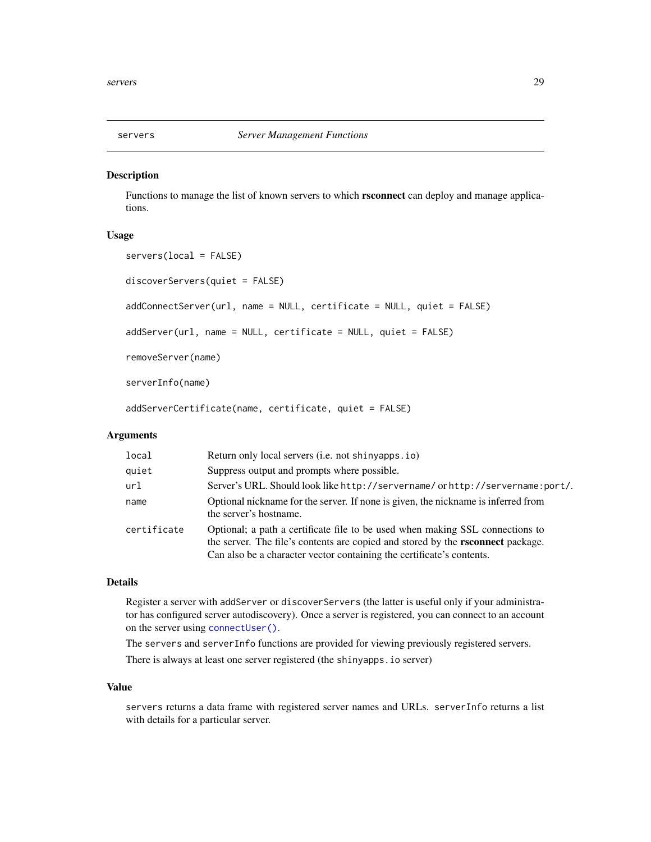<span id="page-28-1"></span><span id="page-28-0"></span>

#### Description

Functions to manage the list of known servers to which rsconnect can deploy and manage applications.

#### Usage

```
servers(local = FALSE)
discoverServers(quiet = FALSE)
addConnectServer(url, name = NULL, certificate = NULL, quiet = FALSE)
addServer(url, name = NULL, certificate = NULL, quiet = FALSE)
removeServer(name)
serverInfo(name)
addServerCertificate(name, certificate, quiet = FALSE)
```
#### Arguments

| local       | Return only local servers (i.e. not shinyapps.io)                                                                                                                                                                                                |
|-------------|--------------------------------------------------------------------------------------------------------------------------------------------------------------------------------------------------------------------------------------------------|
| quiet       | Suppress output and prompts where possible.                                                                                                                                                                                                      |
| url         | Server's URL. Should look like http://servername/orhttp://servername:port/.                                                                                                                                                                      |
| name        | Optional nickname for the server. If none is given, the nickname is inferred from<br>the server's hostname.                                                                                                                                      |
| certificate | Optional; a path a certificate file to be used when making SSL connections to<br>the server. The file's contents are copied and stored by the <b>rsconnect</b> package.<br>Can also be a character vector containing the certificate's contents. |

#### Details

Register a server with addServer or discoverServers (the latter is useful only if your administrator has configured server autodiscovery). Once a server is registered, you can connect to an account on the server using [connectUser\(\)](#page-10-1).

The servers and serverInfo functions are provided for viewing previously registered servers. There is always at least one server registered (the shinyapps.io server)

#### Value

servers returns a data frame with registered server names and URLs. serverInfo returns a list with details for a particular server.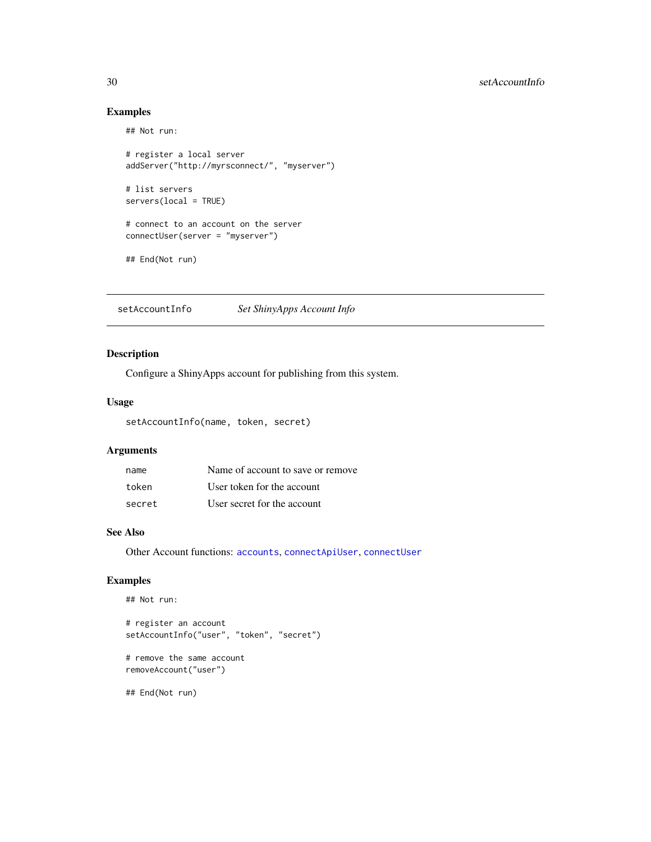### Examples

## Not run:

```
# register a local server
addServer("http://myrsconnect/", "myserver")
# list servers
servers(local = TRUE)
# connect to an account on the server
connectUser(server = "myserver")
```
## End(Not run)

<span id="page-29-1"></span>setAccountInfo *Set ShinyApps Account Info*

### Description

Configure a ShinyApps account for publishing from this system.

#### Usage

setAccountInfo(name, token, secret)

### Arguments

| name   | Name of account to save or remove |
|--------|-----------------------------------|
| token  | User token for the account        |
| secret | User secret for the account       |

#### See Also

Other Account functions: [accounts](#page-2-2), [connectApiUser](#page-9-1), [connectUser](#page-10-1)

### Examples

## Not run:

```
# register an account
setAccountInfo("user", "token", "secret")
```
# remove the same account removeAccount("user")

## End(Not run)

<span id="page-29-0"></span>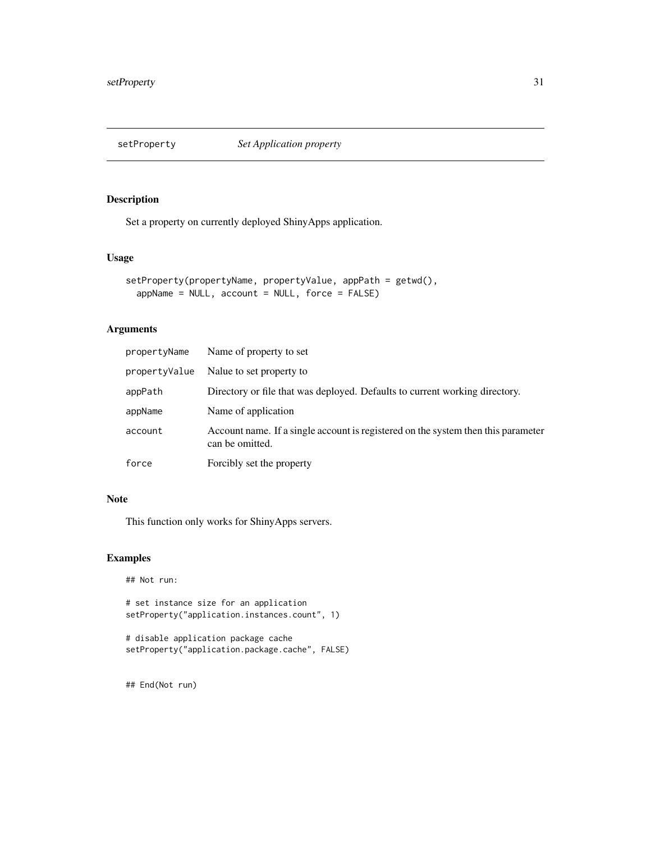<span id="page-30-0"></span>

### Description

Set a property on currently deployed ShinyApps application.

### Usage

```
setProperty(propertyName, propertyValue, appPath = getwd(),
 appName = NULL, account = NULL, force = FALSE)
```
#### Arguments

| propertyName  | Name of property to set                                                                              |
|---------------|------------------------------------------------------------------------------------------------------|
| propertyValue | Nalue to set property to                                                                             |
| appPath       | Directory or file that was deployed. Defaults to current working directory.                          |
| appName       | Name of application                                                                                  |
| account       | Account name. If a single account is registered on the system then this parameter<br>can be omitted. |
| force         | Forcibly set the property                                                                            |

### Note

This function only works for ShinyApps servers.

### Examples

## Not run:

# set instance size for an application setProperty("application.instances.count", 1)

# disable application package cache setProperty("application.package.cache", FALSE)

## End(Not run)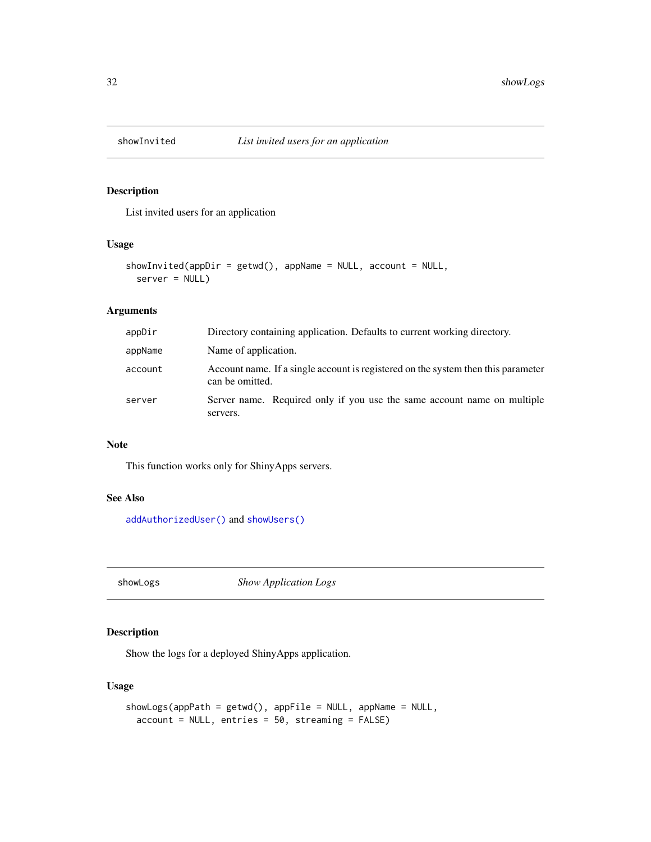<span id="page-31-1"></span><span id="page-31-0"></span>

### Description

List invited users for an application

### Usage

```
showInvited(appDir = getwd(), appName = NULL, account = NULL,
  server = NULL)
```
### Arguments

| appDir  | Directory containing application. Defaults to current working directory.                             |
|---------|------------------------------------------------------------------------------------------------------|
| appName | Name of application.                                                                                 |
| account | Account name. If a single account is registered on the system then this parameter<br>can be omitted. |
| server  | Server name. Required only if you use the same account name on multiple<br>servers.                  |

### Note

This function works only for ShinyApps servers.

### See Also

[addAuthorizedUser\(\)](#page-4-2) and [showUsers\(\)](#page-34-1)

showLogs *Show Application Logs*

### Description

Show the logs for a deployed ShinyApps application.

### Usage

```
showLogs(appPath = getwd(), appFile = NULL, appName = NULL,
 account = NULL, entries = 50, streaming = FALSE)
```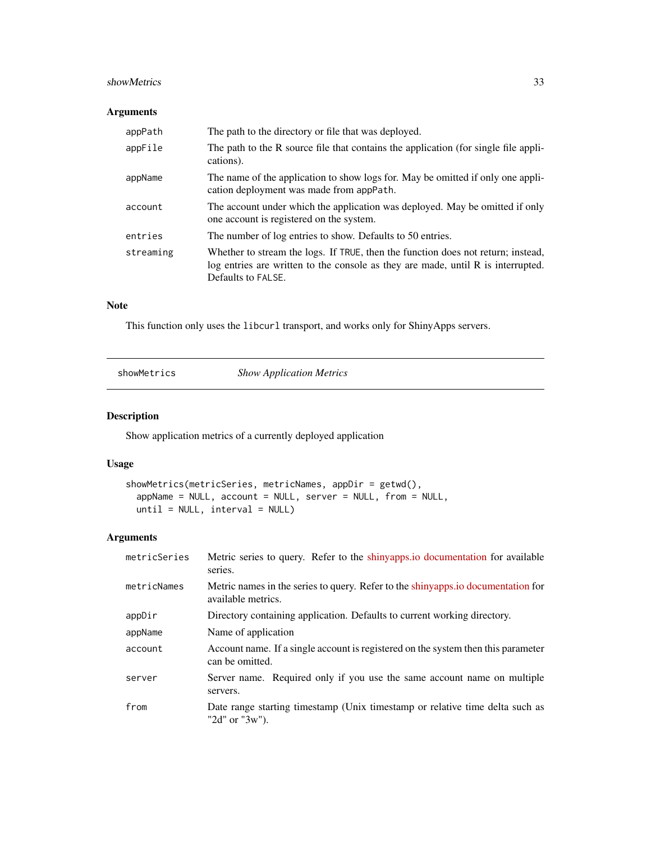#### <span id="page-32-0"></span>showMetrics 33

### Arguments

| appPath   | The path to the directory or file that was deployed.                                                                                                                                       |
|-----------|--------------------------------------------------------------------------------------------------------------------------------------------------------------------------------------------|
| appFile   | The path to the R source file that contains the application (for single file appli-<br>cations).                                                                                           |
| appName   | The name of the application to show logs for. May be omitted if only one appli-<br>cation deployment was made from appPath.                                                                |
| account   | The account under which the application was deployed. May be omitted if only<br>one account is registered on the system.                                                                   |
| entries   | The number of log entries to show. Defaults to 50 entries.                                                                                                                                 |
| streaming | Whether to stream the logs. If TRUE, then the function does not return; instead,<br>log entries are written to the console as they are made, until R is interrupted.<br>Defaults to FALSE. |

### Note

This function only uses the libcurl transport, and works only for ShinyApps servers.

showMetrics *Show Application Metrics*

### Description

Show application metrics of a currently deployed application

#### Usage

```
showMetrics(metricSeries, metricNames, appDir = getwd(),
 appName = NULL, account = NULL, server = NULL, from = NULL,
 until = NULL, interval = NULL)
```

| metricSeries | Metric series to query. Refer to the shinyapps io documentation for available<br>series.               |
|--------------|--------------------------------------------------------------------------------------------------------|
| metricNames  | Metric names in the series to query. Refer to the shinyapps io documentation for<br>available metrics. |
| appDir       | Directory containing application. Defaults to current working directory.                               |
| appName      | Name of application                                                                                    |
| account      | Account name. If a single account is registered on the system then this parameter<br>can be omitted.   |
| server       | Server name. Required only if you use the same account name on multiple<br>servers.                    |
| from         | Date range starting timestamp (Unix timestamp or relative time delta such as<br>" $2d$ " or " $3w$ "). |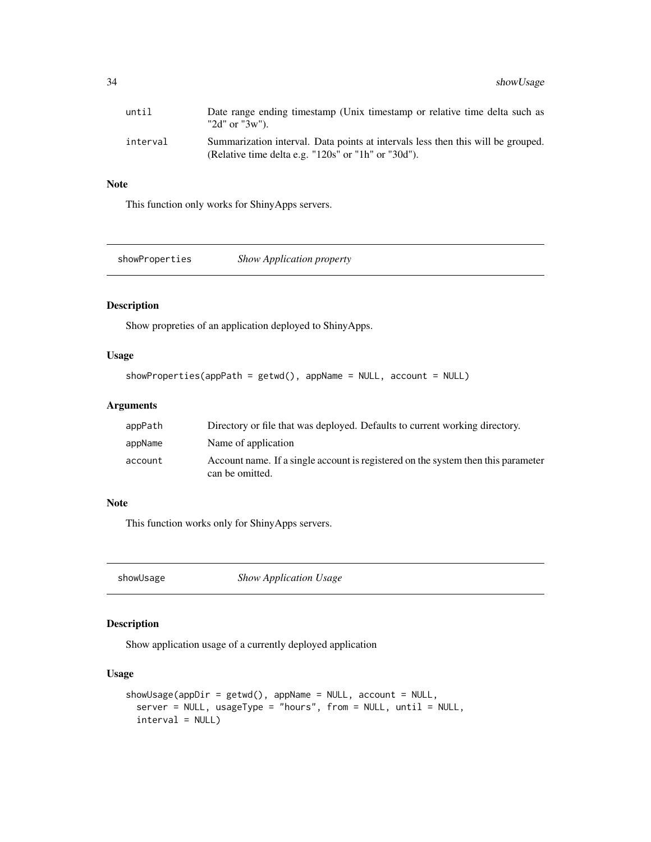<span id="page-33-0"></span>

| until    | Date range ending timestamp (Unix timestamp or relative time delta such as<br>" $2d$ " or " $3w$ ").                                                |
|----------|-----------------------------------------------------------------------------------------------------------------------------------------------------|
| interval | Summarization interval. Data points at intervals less then this will be grouped.<br>(Relative time delta e.g. " $120s$ " or " $1h$ " or " $30d$ "). |

### Note

This function only works for ShinyApps servers.

showProperties *Show Application property*

### Description

Show propreties of an application deployed to ShinyApps.

#### Usage

```
showProperties(appPath = getwd(), appName = NULL, account = NULL)
```
#### Arguments

| appPath | Directory or file that was deployed. Defaults to current working directory.                          |
|---------|------------------------------------------------------------------------------------------------------|
| appName | Name of application                                                                                  |
| account | Account name. If a single account is registered on the system then this parameter<br>can be omitted. |

### Note

This function works only for ShinyApps servers.

showUsage *Show Application Usage*

### Description

Show application usage of a currently deployed application

#### Usage

```
showUsage(appDir = getwd(), appName = NULL, account = NULL,
 server = NULL, usageType = "hours", from = NULL, until = NULL,
 interval = NULL)
```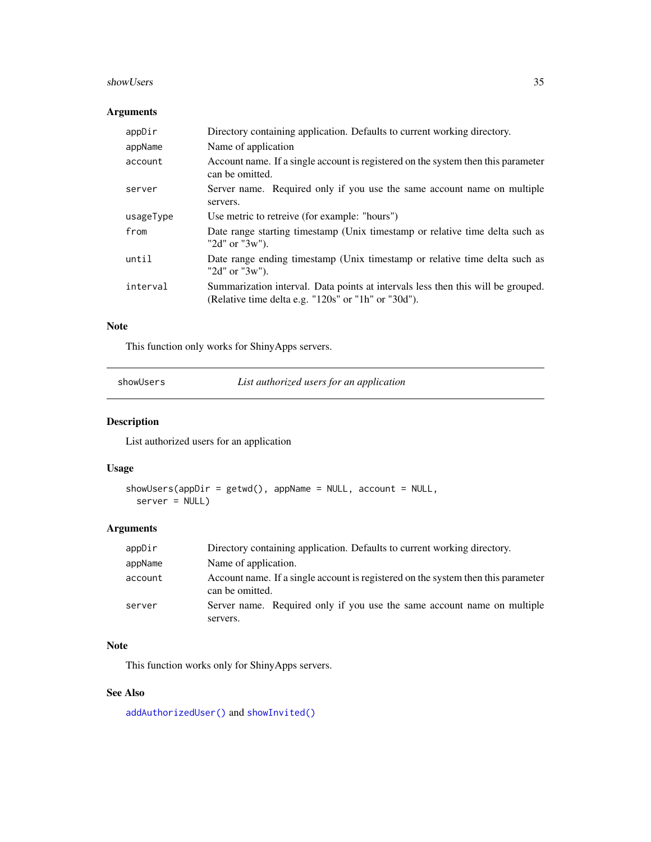#### <span id="page-34-0"></span>showUsers 35

### Arguments

| appDir    | Directory containing application. Defaults to current working directory.                                                                |
|-----------|-----------------------------------------------------------------------------------------------------------------------------------------|
| appName   | Name of application                                                                                                                     |
| account   | Account name. If a single account is registered on the system then this parameter<br>can be omitted.                                    |
| server    | Server name. Required only if you use the same account name on multiple<br>servers.                                                     |
| usageType | Use metric to retreive (for example: "hours")                                                                                           |
| from      | Date range starting timestamp (Unix timestamp or relative time delta such as<br>" $2d$ " or " $3w$ ").                                  |
| until     | Date range ending timestamp (Unix timestamp or relative time delta such as<br>" $2d$ " or " $3w$ ").                                    |
| interval  | Summarization interval. Data points at intervals less then this will be grouped.<br>(Relative time delta e.g. "120s" or "1h" or "30d"). |

#### Note

This function only works for ShinyApps servers.

<span id="page-34-1"></span>showUsers *List authorized users for an application*

### Description

List authorized users for an application

### Usage

```
showUsers(apDir = getwd(), appName = NULL, account = NULL,server = NULL)
```
### Arguments

| appDir  | Directory containing application. Defaults to current working directory.                             |
|---------|------------------------------------------------------------------------------------------------------|
| appName | Name of application.                                                                                 |
| account | Account name. If a single account is registered on the system then this parameter<br>can be omitted. |
| server  | Server name. Required only if you use the same account name on multiple<br>servers.                  |

#### Note

This function works only for ShinyApps servers.

### See Also

[addAuthorizedUser\(\)](#page-4-2) and [showInvited\(\)](#page-31-1)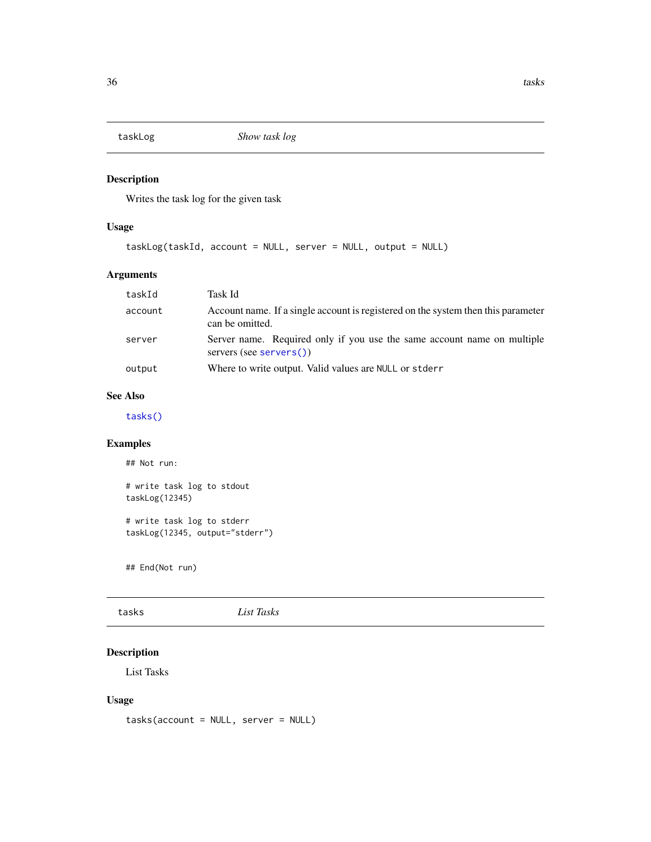<span id="page-35-2"></span><span id="page-35-0"></span>

### Description

Writes the task log for the given task

### Usage

taskLog(taskId, account = NULL, server = NULL, output = NULL)

### Arguments

| taskId  | Task Id                                                                                              |  |
|---------|------------------------------------------------------------------------------------------------------|--|
| account | Account name. If a single account is registered on the system then this parameter<br>can be omitted. |  |
| server  | Server name. Required only if you use the same account name on multiple<br>servers (see servers())   |  |
| output  | Where to write output. Valid values are NULL or stder r                                              |  |

#### See Also

[tasks\(\)](#page-35-1)

### Examples

## Not run:

```
# write task log to stdout
taskLog(12345)
# write task log to stderr
```
taskLog(12345, output="stderr")

## End(Not run)

<span id="page-35-1"></span>tasks *List Tasks*

### Description

List Tasks

### Usage

tasks(account = NULL, server = NULL)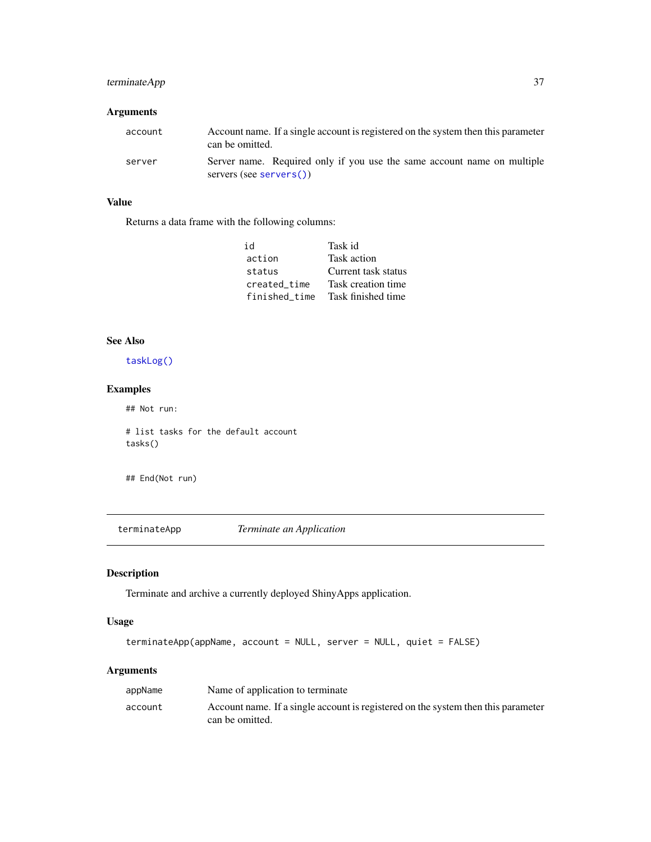### <span id="page-36-0"></span>terminateApp 37

### Arguments

| account | Account name. If a single account is registered on the system then this parameter<br>can be omitted. |
|---------|------------------------------------------------------------------------------------------------------|
| server  | Server name. Required only if you use the same account name on multiple<br>servers (see servers())   |

### Value

Returns a data frame with the following columns:

| id            | Task id             |  |
|---------------|---------------------|--|
| action        | Task action         |  |
| status        | Current task status |  |
| created_time  | Task creation time  |  |
| finished time | Task finished time  |  |

### See Also

[taskLog\(\)](#page-35-2)

### Examples

## Not run:

# list tasks for the default account tasks()

## End(Not run)

<span id="page-36-1"></span>terminateApp *Terminate an Application*

### Description

Terminate and archive a currently deployed ShinyApps application.

#### Usage

```
terminateApp(appName, account = NULL, server = NULL, quiet = FALSE)
```

| appName | Name of application to terminate                                                                     |
|---------|------------------------------------------------------------------------------------------------------|
| account | Account name. If a single account is registered on the system then this parameter<br>can be omitted. |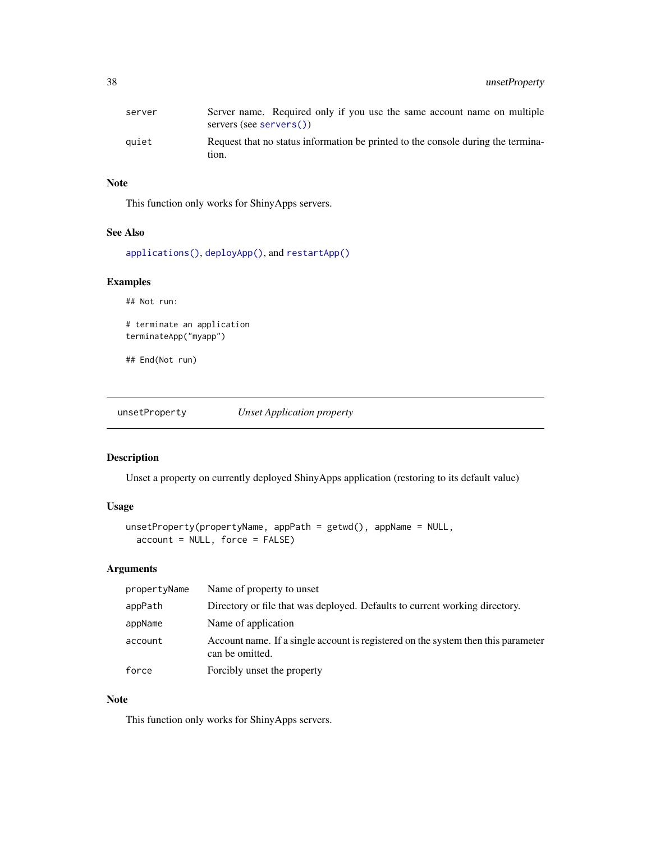<span id="page-37-0"></span>

| server | Server name. Required only if you use the same account name on multiple<br>servers (see servers()) |
|--------|----------------------------------------------------------------------------------------------------|
| auiet  | Request that no status information be printed to the console during the termina-<br>tıon.          |

### Note

This function only works for ShinyApps servers.

#### See Also

[applications\(\)](#page-7-1), [deployApp\(\)](#page-11-1), and [restartApp\(\)](#page-23-1)

### Examples

## Not run: # terminate an application terminateApp("myapp")

## End(Not run)

unsetProperty *Unset Application property*

#### Description

Unset a property on currently deployed ShinyApps application (restoring to its default value)

### Usage

```
unsetProperty(propertyName, appPath = getwd(), appName = NULL,
 account = NULL, force = FALSE)
```
### Arguments

| propertyName | Name of property to unset                                                                            |
|--------------|------------------------------------------------------------------------------------------------------|
| appPath      | Directory or file that was deployed. Defaults to current working directory.                          |
| appName      | Name of application                                                                                  |
| account      | Account name. If a single account is registered on the system then this parameter<br>can be omitted. |
| force        | Forcibly unset the property                                                                          |

### Note

This function only works for ShinyApps servers.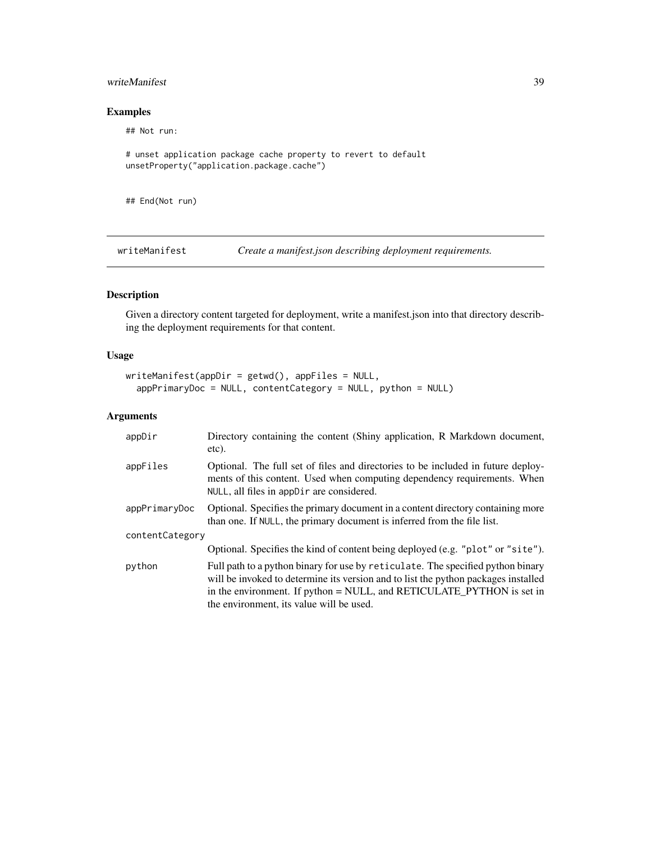### <span id="page-38-0"></span>writeManifest 39

### Examples

## Not run:

```
# unset application package cache property to revert to default
unsetProperty("application.package.cache")
```
## End(Not run)

writeManifest *Create a manifest.json describing deployment requirements.*

### Description

Given a directory content targeted for deployment, write a manifest.json into that directory describing the deployment requirements for that content.

#### Usage

```
written an if est (appDir = getwd(), appFiles = NULL,appPrimaryDoc = NULL, contentCategory = NULL, python = NULL)
```

| appDir          | Directory containing the content (Shiny application, R Markdown document,<br>etc).                                                                                                                                                                                                         |  |
|-----------------|--------------------------------------------------------------------------------------------------------------------------------------------------------------------------------------------------------------------------------------------------------------------------------------------|--|
| appFiles        | Optional. The full set of files and directories to be included in future deploy-<br>ments of this content. Used when computing dependency requirements. When<br>NULL, all files in appDir are considered.                                                                                  |  |
| appPrimaryDoc   | Optional. Specifies the primary document in a content directory containing more<br>than one. If NULL, the primary document is inferred from the file list.                                                                                                                                 |  |
| contentCategory |                                                                                                                                                                                                                                                                                            |  |
|                 | Optional. Specifies the kind of content being deployed (e.g. "plot" or "site").                                                                                                                                                                                                            |  |
| python          | Full path to a python binary for use by reticulate. The specified python binary<br>will be invoked to determine its version and to list the python packages installed<br>in the environment. If python = NULL, and RETICULATE_PYTHON is set in<br>the environment, its value will be used. |  |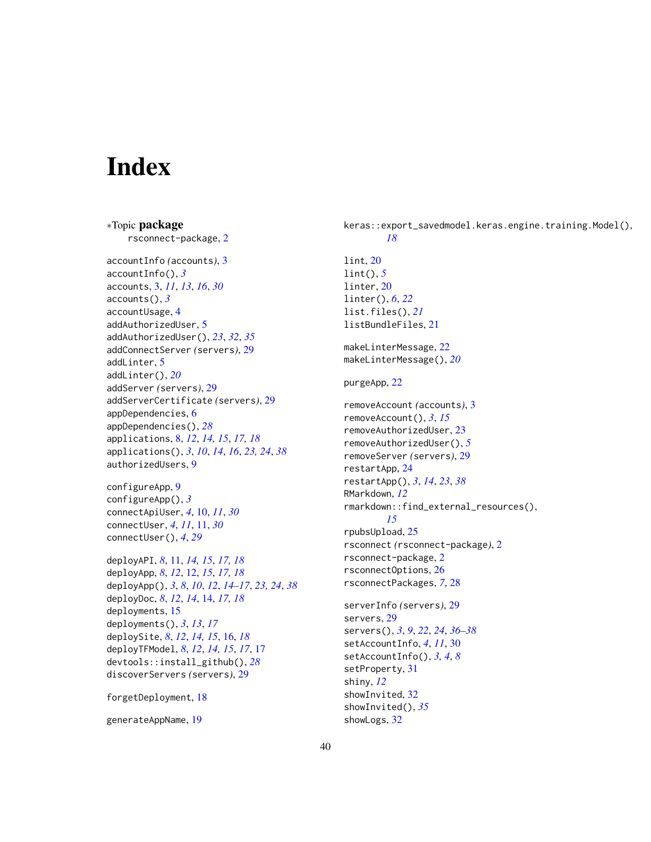## <span id="page-39-0"></span>**Index**

∗Topic package rsconnect-package, [2](#page-1-0) accountInfo *(*accounts*)*, [3](#page-2-0) accountInfo(), *[3](#page-2-0)* accounts, [3,](#page-2-0) *[11](#page-10-0)*, *[13](#page-12-0)*, *[16](#page-15-0)*, *[30](#page-29-0)* accounts(), *[3](#page-2-0)* accountUsage, [4](#page-3-0) addAuthorizedUser, [5](#page-4-0) addAuthorizedUser(), *[23](#page-22-0)*, *[32](#page-31-0)*, *[35](#page-34-0)* addConnectServer *(*servers*)*, [29](#page-28-0) addLinter, [5](#page-4-0) addLinter(), *[20](#page-19-0)* addServer *(*servers*)*, [29](#page-28-0) addServerCertificate *(*servers*)*, [29](#page-28-0) appDependencies, [6](#page-5-0) appDependencies(), *[28](#page-27-0)* applications, [8,](#page-7-0) *[12](#page-11-0)*, *[14,](#page-13-0) [15](#page-14-0)*, *[17,](#page-16-0) [18](#page-17-0)* applications(), *[3](#page-2-0)*, *[10](#page-9-0)*, *[14](#page-13-0)*, *[16](#page-15-0)*, *[23,](#page-22-0) [24](#page-23-0)*, *[38](#page-37-0)* authorizedUsers, [9](#page-8-0) configureApp, [9](#page-8-0) configureApp(), *[3](#page-2-0)* connectApiUser, *[4](#page-3-0)*, [10,](#page-9-0) *[11](#page-10-0)*, *[30](#page-29-0)* connectUser, *[4](#page-3-0)*, *[11](#page-10-0)*, [11,](#page-10-0) *[30](#page-29-0)* connectUser(), *[4](#page-3-0)*, *[29](#page-28-0)* deployAPI, *[8](#page-7-0)*, [11,](#page-10-0) *[14,](#page-13-0) [15](#page-14-0)*, *[17,](#page-16-0) [18](#page-17-0)*

deployApp, *[8](#page-7-0)*, *[12](#page-11-0)*, [12,](#page-11-0) *[15](#page-14-0)*, *[17,](#page-16-0) [18](#page-17-0)* deployApp(), *[3](#page-2-0)*, *[8](#page-7-0)*, *[10](#page-9-0)*, *[12](#page-11-0)*, *[14–](#page-13-0)[17](#page-16-0)*, *[23,](#page-22-0) [24](#page-23-0)*, *[38](#page-37-0)* deployDoc, *[8](#page-7-0)*, *[12](#page-11-0)*, *[14](#page-13-0)*, [14,](#page-13-0) *[17,](#page-16-0) [18](#page-17-0)* deployments, [15](#page-14-0) deployments(), *[3](#page-2-0)*, *[13](#page-12-0)*, *[17](#page-16-0)* deploySite, *[8](#page-7-0)*, *[12](#page-11-0)*, *[14,](#page-13-0) [15](#page-14-0)*, [16,](#page-15-0) *[18](#page-17-0)* deployTFModel, *[8](#page-7-0)*, *[12](#page-11-0)*, *[14,](#page-13-0) [15](#page-14-0)*, *[17](#page-16-0)*, [17](#page-16-0) devtools::install\_github(), *[28](#page-27-0)* discoverServers *(*servers*)*, [29](#page-28-0)

forgetDeployment, [18](#page-17-0)

generateAppName, [19](#page-18-0)

keras::export\_savedmodel.keras.engine.training.Model(), *[18](#page-17-0)* lint, [20](#page-19-0) lint(), *[5](#page-4-0)* linter, [20](#page-19-0) linter(), *[6](#page-5-0)*, *[22](#page-21-0)* list.files(), *[21](#page-20-0)* listBundleFiles, [21](#page-20-0) makeLinterMessage, [22](#page-21-0) makeLinterMessage(), *[20](#page-19-0)* purgeApp, [22](#page-21-0) removeAccount *(*accounts*)*, [3](#page-2-0) removeAccount(), *[3](#page-2-0)*, *[15](#page-14-0)* removeAuthorizedUser, [23](#page-22-0) removeAuthorizedUser(), *[5](#page-4-0)* removeServer *(*servers*)*, [29](#page-28-0) restartApp, [24](#page-23-0) restartApp(), *[3](#page-2-0)*, *[14](#page-13-0)*, *[23](#page-22-0)*, *[38](#page-37-0)* RMarkdown, *[12](#page-11-0)* rmarkdown::find\_external\_resources(), *[15](#page-14-0)* rpubsUpload, [25](#page-24-0) rsconnect *(*rsconnect-package*)*, [2](#page-1-0) rsconnect-package, [2](#page-1-0) rsconnectOptions, [26](#page-25-0) rsconnectPackages, *[7](#page-6-0)*, [28](#page-27-0) serverInfo *(*servers*)*, [29](#page-28-0) servers, [29](#page-28-0) servers(), *[3](#page-2-0)*, *[9](#page-8-0)*, *[22](#page-21-0)*, *[24](#page-23-0)*, *[36](#page-35-0)[–38](#page-37-0)* setAccountInfo, *[4](#page-3-0)*, *[11](#page-10-0)*, [30](#page-29-0) setAccountInfo(), *[3,](#page-2-0) [4](#page-3-0)*, *[8](#page-7-0)* setProperty, [31](#page-30-0) shiny, *[12](#page-11-0)* showInvited, [32](#page-31-0) showInvited(), *[35](#page-34-0)*

showLogs, [32](#page-31-0)